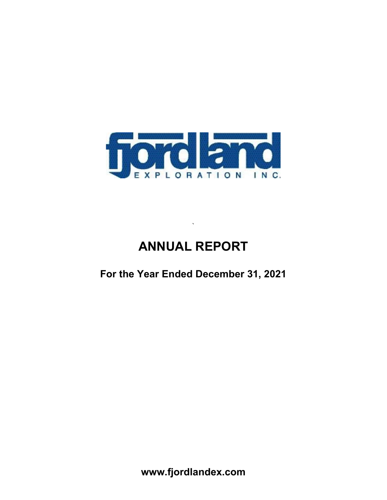

# **ANNUAL REPORT**

`

# **For the Year Ended December 31, 2021**

**www.fjordlandex.com**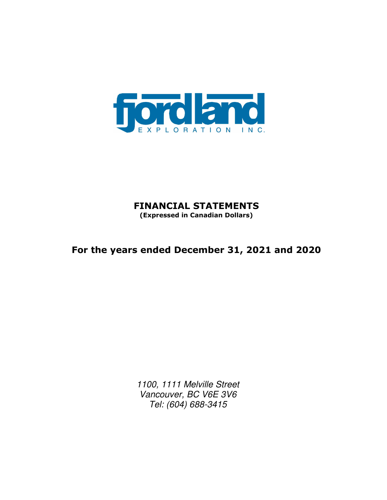

## **FINANCIAL STATEMENTS**

**(Expressed in Canadian Dollars)** 

**For the years ended December 31, 2021 and 2020**

1100, 1111 Melville Street Vancouver, BC V6E 3V6 Tel: (604) 688-3415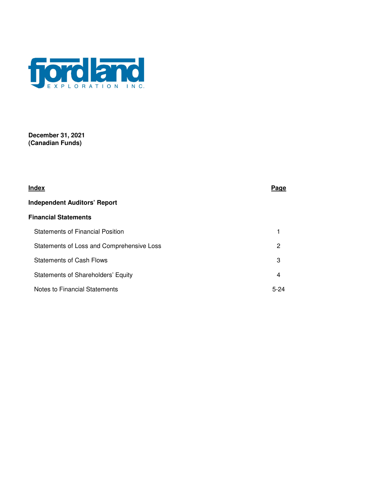

### **December 31, 2021 (Canadian Funds)**

| <b>Index</b>                              | Page     |
|-------------------------------------------|----------|
| <b>Independent Auditors' Report</b>       |          |
| <b>Financial Statements</b>               |          |
| <b>Statements of Financial Position</b>   |          |
| Statements of Loss and Comprehensive Loss | 2        |
| <b>Statements of Cash Flows</b>           | 3        |
| Statements of Shareholders' Equity        | 4        |
| Notes to Financial Statements             | $5 - 24$ |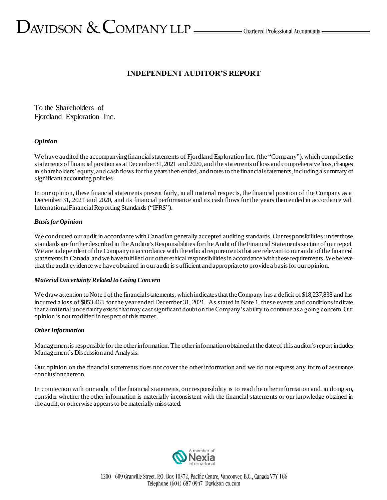# $D_{\text{AVIDSON}} \ \&\ \text{COMPANY LLP} \_\text{\tiny{LIP}}$  Chartered Professional Accountants  $D_{\text{AVIDSON}}$

### **INDEPENDENT AUDITOR'S REPORT**

To the Shareholders of Fjordland Exploration Inc.

### *Opinion*

We have audited the accompanying financial statements of Fjordland Exploration Inc. (the "Company"), which comprise the statements of financial position as at December 31, 2021 and 2020, and the statements of loss and comprehensive loss, changes in shareholders' equity, and cash flows for the years then ended, and notes to the financial statements, including a summary of significant accounting policies.

In our opinion, these financial statements present fairly, in all material respects, the financial position of the Company as at December 31, 2021 and 2020, and its financial performance and its cash flows for the years then ended in accordance with International Financial Reporting Standards("IFRS").

### *Basis for Opinion*

We conducted our audit in accordance with Canadian generally accepted auditing standards. Our responsibilities under those standards are further described in the Auditor's Responsibilities for the Audit of the Financial Statements section of our report. We are independent of the Company in accordance with the ethical requirements that are relevant to our audit of the financial statementsin Canada, and we have fulfilled our other ethical responsibilities in accordance with these requirements. We believe that the audit evidence we have obtained in our audit is sufficient and appropriate to provide a basis for our opinion.

### *Material Uncertainty Related to Going Concern*

We draw attention to Note 1 of the financial statements, which indicates that the Company has a deficit of \$18,237,838 and has incurred a loss of \$853,463 for the year ended December 31, 2021. As stated in Note 1, these events and conditions indicate that a material uncertainty exists that may cast significant doubt on the Company's ability to continue as a going concern. Our opinion is not modified in respect of this matter.

### *Other Information*

Management is responsible for the other information. The other information obtained at the date of this auditor's report includes Management's Discussion and Analysis.

Our opinion on the financial statements does not cover the other information and we do not express any form of assurance conclusion thereon.

In connection with our audit of the financial statements, our responsibility is to read the other information and, in doing so, consider whether the other information is materially inconsistent with the financial statements or our knowledge obtained in the audit, or otherwise appears to be materially misstated.

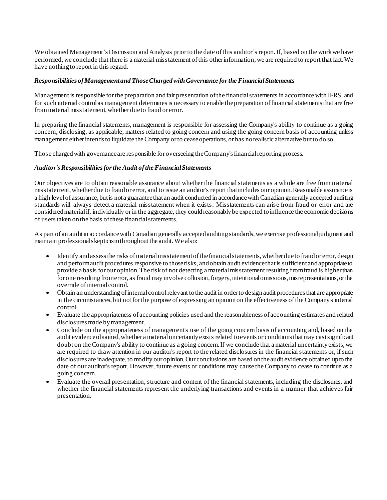We obtained Management's Discussion and Analysis prior to the date of this auditor's report.If, based on the work we have performed, we conclude that there is a material misstatement of this other information, we are required to report that fact. We have nothing to report in this regard.

### *Responsibilities of Management and Those Charged with Governance for the Financial Statements*

Management is responsible forthe preparation and fair presentation of the financial statements in accordance with IFRS, and for such internal control as management determines is necessary to enable the preparation of financial statements that are free from material misstatement, whether due to fraud or error.

In preparing the financial statements, management is responsible for assessing the Company's ability to continue as a going concern, disclosing, as applicable, matters related to going concern and using the going concern basis of accounting unless management either intends to liquidate the Company or to cease operations, or has no realistic alternative but to do so.

Those charged with governance are responsible for overseeing the Company's financial reporting process.

### *Auditor'sResponsibilities for the Audit of the Financial Statements*

Our objectives are to obtain reasonable assurance about whether the financial statements as a whole are free from material misstatement, whether due to fraud or error, and to issue an auditor's report that includes our opinion. Reasonable assurance is a high level of assurance, but is not a guarantee that an audit conducted in accordance with Canadian generally accepted auditing standards will always detect a material misstatement when it exists. Misstatements can arise from fraud or error and are considered material if, individually or in the aggregate, they could reasonably be expected to influence the economic decisions of users taken on the basis of these financial statements.

As part of an audit in accordance with Canadian generally accepted auditing standards, we exercise professional judgment and maintain professional skepticism throughout the audit. We also:

- Identify and assess the risks of material misstatement of the financial statements, whether due to fraud or error, design and perform audit procedures responsive to those risks, and obtain audit evidence that is sufficient and appropriate to provide a basis for our opinion. The risk of not detecting a material misstatement resulting from fraud is higher than for one resulting from error, as fraud may involve collusion, forgery, intentional omissions, misrepresentations, or the override of internal control.
- Obtain an understanding of internal control relevant to the audit in order to design audit procedures that are appropriate in the circumstances, but not for the purpose of expressing an opinion on the effectiveness of the Company's internal control.
- Evaluate the appropriateness of accounting policies used and the reasonableness of accounting estimates and related disclosures made by management.
- Conclude on the appropriateness of management's use of the going concern basis of accounting and, based on the audit evidence obtained, whether a material uncertainty exists related to events or conditions that may cast significant doubt on the Company's ability to continue as a going concern. If we conclude that a material uncertainty exists, we are required to draw attention in our auditor's report to the related disclosures in the financial statements or, if such disclosures are inadequate, to modify our opinion. Our conclusions are based on the audit evidence obtained up to the date of our auditor's report. However, future events or conditions may cause the Company to cease to continue as a going concern.
- Evaluate the overall presentation, structure and content of the financial statements, including the disclosures, and whether the financial statements represent the underlying transactions and events in a manner that achieves fair presentation.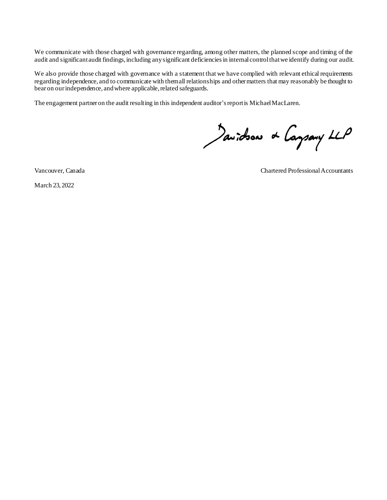We communicate with those charged with governance regarding, among other matters, the planned scope and timing of the audit and significant audit findings, including any significant deficiencies in internal control that we identify during our audit.

We also provide those charged with governance with a statement that we have complied with relevant ethical requirements regarding independence, and to communicate with them all relationships and other matters that may reasonably be thought to bear on our independence, and where applicable, related safeguards.

The engagement partner on the audit resulting in this independent auditor's report is Michael MacLaren.

Javidson & Caysary LLP

March 23, 2022

Vancouver, Canada Chartered Professional Accountants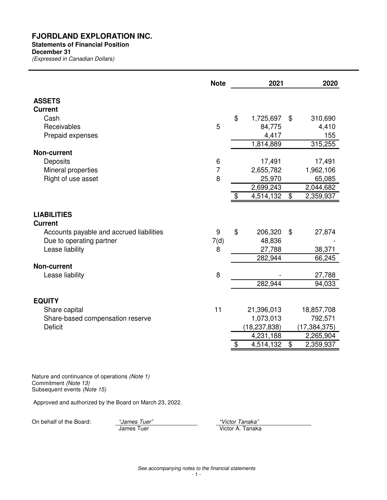### **Statements of Financial Position**

**December 31** 

(Expressed in Canadian Dollars)

|                                                                                                                                                       | <b>Note</b>    | 2021 |                                        |                         | 2020                       |
|-------------------------------------------------------------------------------------------------------------------------------------------------------|----------------|------|----------------------------------------|-------------------------|----------------------------|
| <b>ASSETS</b>                                                                                                                                         |                |      |                                        |                         |                            |
| <b>Current</b>                                                                                                                                        |                |      |                                        |                         |                            |
| Cash                                                                                                                                                  |                | \$   | 1,725,697                              | \$                      | 310,690                    |
| Receivables                                                                                                                                           | 5              |      | 84,775                                 |                         | 4,410                      |
| Prepaid expenses                                                                                                                                      |                |      | 4,417                                  |                         | 155                        |
|                                                                                                                                                       |                |      | 1,814,889                              |                         | 315,255                    |
| <b>Non-current</b>                                                                                                                                    |                |      |                                        |                         |                            |
| Deposits                                                                                                                                              | $6\,$          |      | 17,491                                 |                         | 17,491                     |
| Mineral properties                                                                                                                                    | $\overline{7}$ |      | 2,655,782                              |                         | 1,962,106                  |
| Right of use asset                                                                                                                                    | 8              |      | 25,970                                 |                         | 65,085                     |
|                                                                                                                                                       |                |      | 2,699,243                              |                         | 2,044,682                  |
|                                                                                                                                                       |                | \$   | 4,514,132                              | \$                      | 2,359,937                  |
| <b>LIABILITIES</b><br><b>Current</b><br>Accounts payable and accrued liabilities<br>Due to operating partner<br>Lease liability<br><b>Non-current</b> | 9<br>7(d)<br>8 | \$   | 206,320<br>48,836<br>27,788<br>282,944 | \$                      | 27,874<br>38,371<br>66,245 |
| Lease liability                                                                                                                                       | 8              |      |                                        |                         | 27,788                     |
|                                                                                                                                                       |                |      | 282,944                                |                         | 94,033                     |
| <b>EQUITY</b>                                                                                                                                         |                |      |                                        |                         |                            |
| Share capital                                                                                                                                         | 11             |      | 21,396,013                             |                         | 18,857,708                 |
| Share-based compensation reserve                                                                                                                      |                |      | 1,073,013                              |                         | 792,571                    |
| <b>Deficit</b>                                                                                                                                        |                |      | (18, 237, 838)                         |                         | (17, 384, 375)             |
|                                                                                                                                                       |                |      | 4,231,188                              |                         | 2,265,904                  |
|                                                                                                                                                       |                | \$   | 4,514,132                              | $\overline{\mathbf{e}}$ | 2,359,937                  |

Nature and continuance of operations (Note 1) Commitment (Note 13) Subsequent events (Note 15)

Approved and authorized by the Board on March 23, 2022.

On behalf of the Board: "James Tuer"<br>James Tuer

"Victor Tanaka"<br>Victor A. Tanaka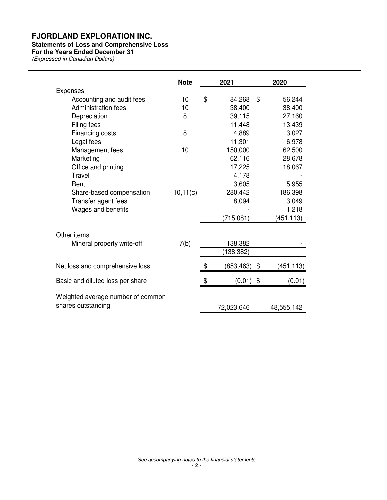#### **Statements of Loss and Comprehensive Loss**

**For the Years Ended December 31** 

(Expressed in Canadian Dollars)

|                                   | <b>Note</b> | 2021             | 2020            |
|-----------------------------------|-------------|------------------|-----------------|
| <b>Expenses</b>                   |             |                  |                 |
| Accounting and audit fees         | 10          | \$<br>84,268     | \$<br>56,244    |
| Administration fees               | 10          | 38,400           | 38,400          |
| Depreciation                      | 8           | 39,115           | 27,160          |
| Filing fees                       |             | 11,448           | 13,439          |
| Financing costs                   | 8           | 4,889            | 3,027           |
| Legal fees                        |             | 11,301           | 6,978           |
| Management fees                   | 10          | 150,000          | 62,500          |
| Marketing                         |             | 62,116           | 28,678          |
| Office and printing               |             | 17,225           | 18,067          |
| Travel                            |             | 4,178            |                 |
| Rent                              |             | 3,605            | 5,955           |
| Share-based compensation          | 10, 11(c)   | 280,442          | 186,398         |
| Transfer agent fees               |             | 8,094            | 3,049           |
| Wages and benefits                |             |                  | 1,218           |
|                                   |             | (715, 081)       | (451, 113)      |
| Other items                       |             |                  |                 |
| Mineral property write-off        | 7(b)        | 138,382          |                 |
|                                   |             | (138, 382)       |                 |
| Net loss and comprehensive loss   |             | \$<br>(853, 463) | \$<br>(451,113) |
| Basic and diluted loss per share  |             | (0.01)           | \$<br>(0.01)    |
| Weighted average number of common |             |                  |                 |
| shares outstanding                |             | 72,023,646       | 48,555,142      |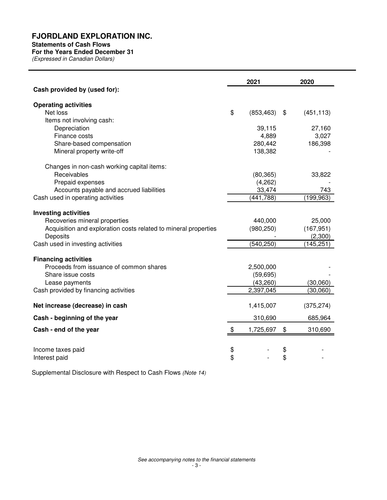**Statements of Cash Flows** 

**For the Years Ended December 31** 

(Expressed in Canadian Dollars)

|                                                                 |    | 2021       | 2020 |            |  |  |
|-----------------------------------------------------------------|----|------------|------|------------|--|--|
| Cash provided by (used for):                                    |    |            |      |            |  |  |
| <b>Operating activities</b>                                     |    |            |      |            |  |  |
| Net loss                                                        | \$ | (853, 463) | \$   | (451, 113) |  |  |
| Items not involving cash:                                       |    |            |      |            |  |  |
| Depreciation                                                    |    | 39,115     |      | 27,160     |  |  |
| Finance costs                                                   |    | 4,889      |      | 3,027      |  |  |
| Share-based compensation                                        |    | 280,442    |      | 186,398    |  |  |
| Mineral property write-off                                      |    | 138,382    |      |            |  |  |
| Changes in non-cash working capital items:                      |    |            |      |            |  |  |
| Receivables                                                     |    | (80, 365)  |      | 33,822     |  |  |
| Prepaid expenses                                                |    | (4,262)    |      |            |  |  |
| Accounts payable and accrued liabilities                        |    | 33,474     |      | 743        |  |  |
| Cash used in operating activities                               |    | (441, 788) |      | (199, 963) |  |  |
| <b>Investing activities</b>                                     |    |            |      |            |  |  |
| Recoveries mineral properties                                   |    | 440,000    |      | 25,000     |  |  |
| Acquisition and exploration costs related to mineral properties |    | (980, 250) |      | (167, 951) |  |  |
| Deposits                                                        |    |            |      | (2,300)    |  |  |
| Cash used in investing activities                               |    | (540, 250) |      | (145, 251) |  |  |
| <b>Financing activities</b>                                     |    |            |      |            |  |  |
| Proceeds from issuance of common shares                         |    | 2,500,000  |      |            |  |  |
| Share issue costs                                               |    | (59, 695)  |      |            |  |  |
| Lease payments                                                  |    | (43, 260)  |      | (30,060)   |  |  |
| Cash provided by financing activities                           |    | 2,397,045  |      | (30,060)   |  |  |
| Net increase (decrease) in cash                                 |    | 1,415,007  |      | (375, 274) |  |  |
| Cash - beginning of the year                                    |    | 310,690    |      | 685,964    |  |  |
| Cash - end of the year                                          | \$ | 1,725,697  | \$   | 310,690    |  |  |
|                                                                 |    |            |      |            |  |  |
| Income taxes paid                                               | \$ |            | \$   |            |  |  |
| Interest paid                                                   | \$ |            | \$   |            |  |  |
|                                                                 |    |            |      |            |  |  |

Supplemental Disclosure with Respect to Cash Flows (Note 14)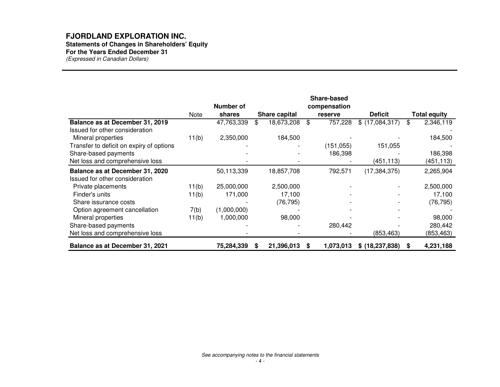## **FJORDLAND EXPLORATION INC. Statements of Changes in Shareholders' Equity For the Years Ended December 31** (Expressed in Canadian Dollars)

|                                                                   |             | Number of   |                      | Share-based<br>compensation |                   |                     |
|-------------------------------------------------------------------|-------------|-------------|----------------------|-----------------------------|-------------------|---------------------|
|                                                                   | <b>Note</b> | shares      | <b>Share capital</b> | reserve                     | <b>Deficit</b>    | <b>Total equity</b> |
| Balance as at December 31, 2019<br>Issued for other consideration |             | 47,763,339  | \$<br>18,673,208     | 757,228<br>\$               | \$ (17,084,317)   | 2,346,119<br>\$     |
| Mineral properties                                                | 11(b)       | 2,350,000   | 184,500              |                             |                   | 184,500             |
| Transfer to deficit on expiry of options                          |             |             |                      | (151,055)                   | 151,055           |                     |
| Share-based payments                                              |             |             |                      | 186,398                     |                   | 186,398             |
| Net loss and comprehensive loss                                   |             |             |                      |                             | (451, 113)        | (451,113)           |
| Balance as at December 31, 2020<br>Issued for other consideration |             | 50,113,339  | 18,857,708           | 792,571                     | (17, 384, 375)    | 2,265,904           |
| Private placements                                                | 11(b)       | 25,000,000  | 2,500,000            |                             |                   | 2,500,000           |
| Finder's units                                                    | 11(b)       | 171,000     | 17,100               |                             |                   | 17,100              |
| Share issurance costs                                             |             |             | (76, 795)            |                             |                   | (76, 795)           |
| Option agreement cancellation                                     | 7(b)        | (1,000,000) |                      |                             |                   |                     |
| Mineral properties                                                | 11(b)       | 1,000,000   | 98,000               |                             |                   | 98,000              |
| Share-based payments                                              |             |             |                      | 280,442                     |                   | 280,442             |
| Net loss and comprehensive loss                                   |             |             |                      |                             | (853, 463)        | (853,463)           |
| Balance as at December 31, 2021                                   |             | 75,284,339  | 21,396,013<br>S      | 1,073,013<br>S              | \$ (18, 237, 838) | 4,231,188<br>- \$   |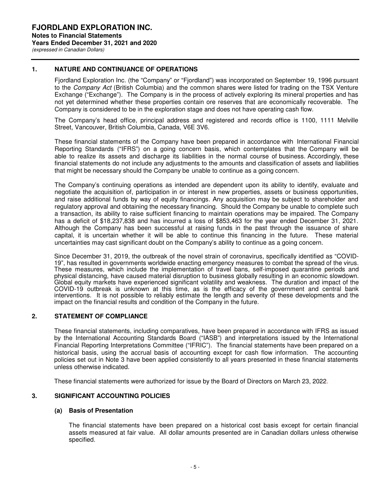### **1. NATURE AND CONTINUANCE OF OPERATIONS**

Fjordland Exploration Inc. (the "Company" or "Fjordland") was incorporated on September 19, 1996 pursuant to the Company Act (British Columbia) and the common shares were listed for trading on the TSX Venture Exchange ("Exchange"). The Company is in the process of actively exploring its mineral properties and has not yet determined whether these properties contain ore reserves that are economically recoverable. The Company is considered to be in the exploration stage and does not have operating cash flow.

The Company's head office, principal address and registered and records office is 1100, 1111 Melville Street, Vancouver, British Columbia, Canada, V6E 3V6.

These financial statements of the Company have been prepared in accordance with International Financial Reporting Standards ("IFRS") on a going concern basis, which contemplates that the Company will be able to realize its assets and discharge its liabilities in the normal course of business. Accordingly, these financial statements do not include any adjustments to the amounts and classification of assets and liabilities that might be necessary should the Company be unable to continue as a going concern.

The Company's continuing operations as intended are dependent upon its ability to identify, evaluate and negotiate the acquisition of, participation in or interest in new properties, assets or business opportunities, and raise additional funds by way of equity financings. Any acquisition may be subject to shareholder and regulatory approval and obtaining the necessary financing. Should the Company be unable to complete such a transaction, its ability to raise sufficient financing to maintain operations may be impaired. The Company has a deficit of \$18,237,838 and has incurred a loss of \$853,463 for the year ended December 31, 2021. Although the Company has been successful at raising funds in the past through the issuance of share capital, it is uncertain whether it will be able to continue this financing in the future. These material uncertainties may cast significant doubt on the Company's ability to continue as a going concern.

Since December 31, 2019, the outbreak of the novel strain of coronavirus, specifically identified as "COVID-19", has resulted in governments worldwide enacting emergency measures to combat the spread of the virus. These measures, which include the implementation of travel bans, self-imposed quarantine periods and physical distancing, have caused material disruption to business globally resulting in an economic slowdown. Global equity markets have experienced significant volatility and weakness. The duration and impact of the COVID-19 outbreak is unknown at this time, as is the efficacy of the government and central bank interventions. It is not possible to reliably estimate the length and severity of these developments and the impact on the financial results and condition of the Company in the future.

### **2. STATEMENT OF COMPLIANCE**

These financial statements, including comparatives, have been prepared in accordance with IFRS as issued by the International Accounting Standards Board ("IASB") and interpretations issued by the International Financial Reporting Interpretations Committee ("IFRIC"). The financial statements have been prepared on a historical basis, using the accrual basis of accounting except for cash flow information. The accounting policies set out in Note 3 have been applied consistently to all years presented in these financial statements unless otherwise indicated.

These financial statements were authorized for issue by the Board of Directors on March 23, 2022.

### **3. SIGNIFICANT ACCOUNTING POLICIES**

#### **(a) Basis of Presentation**

The financial statements have been prepared on a historical cost basis except for certain financial assets measured at fair value. All dollar amounts presented are in Canadian dollars unless otherwise specified.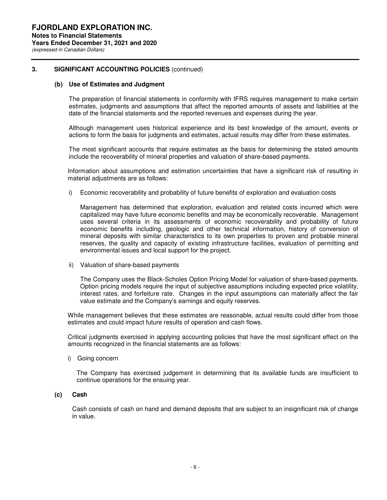#### **(b) Use of Estimates and Judgment**

The preparation of financial statements in conformity with IFRS requires management to make certain estimates, judgments and assumptions that affect the reported amounts of assets and liabilities at the date of the financial statements and the reported revenues and expenses during the year.

Although management uses historical experience and its best knowledge of the amount, events or actions to form the basis for judgments and estimates, actual results may differ from these estimates.

The most significant accounts that require estimates as the basis for determining the stated amounts include the recoverability of mineral properties and valuation of share-based payments.

Information about assumptions and estimation uncertainties that have a significant risk of resulting in material adjustments are as follows:

i) Economic recoverability and probability of future benefits of exploration and evaluation costs

Management has determined that exploration, evaluation and related costs incurred which were capitalized may have future economic benefits and may be economically recoverable. Management uses several criteria in its assessments of economic recoverability and probability of future economic benefits including, geologic and other technical information, history of conversion of mineral deposits with similar characteristics to its own properties to proven and probable mineral reserves, the quality and capacity of existing infrastructure facilities, evaluation of permitting and environmental issues and local support for the project.

ii) Valuation of share-based payments

The Company uses the Black-Scholes Option Pricing Model for valuation of share-based payments. Option pricing models require the input of subjective assumptions including expected price volatility, interest rates, and forfeiture rate. Changes in the input assumptions can materially affect the fair value estimate and the Company's earnings and equity reserves.

While management believes that these estimates are reasonable, actual results could differ from those estimates and could impact future results of operation and cash flows.

Critical judgments exercised in applying accounting policies that have the most significant effect on the amounts recognized in the financial statements are as follows:

i) Going concern

The Company has exercised judgement in determining that its available funds are insufficient to continue operations for the ensuing year.

#### **(c) Cash**

Cash consists of cash on hand and demand deposits that are subject to an insignificant risk of change in value.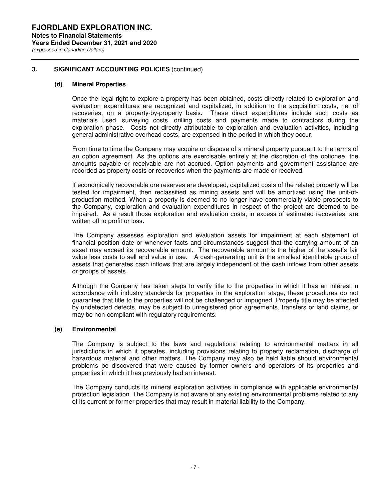### **(d) Mineral Properties**

Once the legal right to explore a property has been obtained, costs directly related to exploration and evaluation expenditures are recognized and capitalized, in addition to the acquisition costs, net of recoveries, on a property-by-property basis. These direct expenditures include such costs as materials used, surveying costs, drilling costs and payments made to contractors during the exploration phase. Costs not directly attributable to exploration and evaluation activities, including general administrative overhead costs, are expensed in the period in which they occur.

From time to time the Company may acquire or dispose of a mineral property pursuant to the terms of an option agreement. As the options are exercisable entirely at the discretion of the optionee, the amounts payable or receivable are not accrued. Option payments and government assistance are recorded as property costs or recoveries when the payments are made or received.

If economically recoverable ore reserves are developed, capitalized costs of the related property will be tested for impairment, then reclassified as mining assets and will be amortized using the unit-ofproduction method. When a property is deemed to no longer have commercially viable prospects to the Company, exploration and evaluation expenditures in respect of the project are deemed to be impaired. As a result those exploration and evaluation costs, in excess of estimated recoveries, are written off to profit or loss.

The Company assesses exploration and evaluation assets for impairment at each statement of financial position date or whenever facts and circumstances suggest that the carrying amount of an asset may exceed its recoverable amount. The recoverable amount is the higher of the asset's fair value less costs to sell and value in use. A cash-generating unit is the smallest identifiable group of assets that generates cash inflows that are largely independent of the cash inflows from other assets or groups of assets.

Although the Company has taken steps to verify title to the properties in which it has an interest in accordance with industry standards for properties in the exploration stage, these procedures do not guarantee that title to the properties will not be challenged or impugned. Property title may be affected by undetected defects, may be subject to unregistered prior agreements, transfers or land claims, or may be non-compliant with regulatory requirements.

### **(e) Environmental**

The Company is subject to the laws and regulations relating to environmental matters in all jurisdictions in which it operates, including provisions relating to property reclamation, discharge of hazardous material and other matters. The Company may also be held liable should environmental problems be discovered that were caused by former owners and operators of its properties and properties in which it has previously had an interest.

The Company conducts its mineral exploration activities in compliance with applicable environmental protection legislation. The Company is not aware of any existing environmental problems related to any of its current or former properties that may result in material liability to the Company.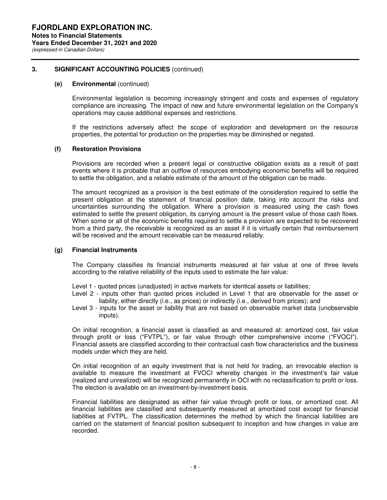#### **(e) Environmental** (continued)

Environmental legislation is becoming increasingly stringent and costs and expenses of regulatory compliance are increasing. The impact of new and future environmental legislation on the Company's operations may cause additional expenses and restrictions.

If the restrictions adversely affect the scope of exploration and development on the resource properties, the potential for production on the properties may be diminished or negated.

#### **(f) Restoration Provisions**

Provisions are recorded when a present legal or constructive obligation exists as a result of past events where it is probable that an outflow of resources embodying economic benefits will be required to settle the obligation, and a reliable estimate of the amount of the obligation can be made.

The amount recognized as a provision is the best estimate of the consideration required to settle the present obligation at the statement of financial position date, taking into account the risks and uncertainties surrounding the obligation. Where a provision is measured using the cash flows estimated to settle the present obligation, its carrying amount is the present value of those cash flows. When some or all of the economic benefits required to settle a provision are expected to be recovered from a third party, the receivable is recognized as an asset if it is virtually certain that reimbursement will be received and the amount receivable can be measured reliably.

#### **(g) Financial Instruments**

The Company classifies its financial instruments measured at fair value at one of three levels according to the relative reliability of the inputs used to estimate the fair value:

- Level 1 quoted prices (unadjusted) in active markets for identical assets or liabilities;
- Level 2 inputs other than quoted prices included in Level 1 that are observable for the asset or liability, either directly (i.e., as prices) or indirectly (i.e., derived from prices); and
- Level 3 inputs for the asset or liability that are not based on observable market data (unobservable inputs).

On initial recognition, a financial asset is classified as and measured at: amortized cost, fair value through profit or loss ("FVTPL"), or fair value through other comprehensive income ("FVOCI"). Financial assets are classified according to their contractual cash flow characteristics and the business models under which they are held.

On initial recognition of an equity investment that is not held for trading, an irrevocable election is available to measure the investment at FVOCI whereby changes in the investment's fair value (realized and unrealized) will be recognized permanently in OCI with no reclassification to profit or loss. The election is available on an investment-by-investment basis.

Financial liabilities are designated as either fair value through profit or loss, or amortized cost. All financial liabilities are classified and subsequently measured at amortized cost except for financial liabilities at FVTPL. The classification determines the method by which the financial liabilities are carried on the statement of financial position subsequent to inception and how changes in value are recorded.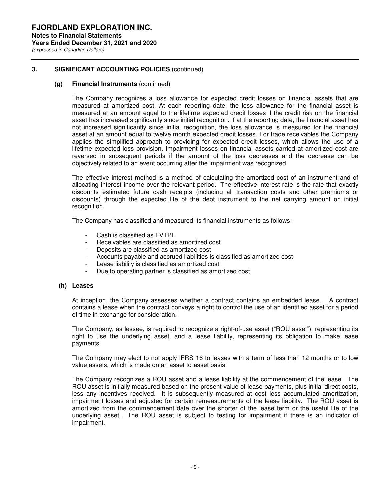### **(g) Financial Instruments** (continued)

The Company recognizes a loss allowance for expected credit losses on financial assets that are measured at amortized cost. At each reporting date, the loss allowance for the financial asset is measured at an amount equal to the lifetime expected credit losses if the credit risk on the financial asset has increased significantly since initial recognition. If at the reporting date, the financial asset has not increased significantly since initial recognition, the loss allowance is measured for the financial asset at an amount equal to twelve month expected credit losses. For trade receivables the Company applies the simplified approach to providing for expected credit losses, which allows the use of a lifetime expected loss provision. Impairment losses on financial assets carried at amortized cost are reversed in subsequent periods if the amount of the loss decreases and the decrease can be objectively related to an event occurring after the impairment was recognized.

The effective interest method is a method of calculating the amortized cost of an instrument and of allocating interest income over the relevant period. The effective interest rate is the rate that exactly discounts estimated future cash receipts (including all transaction costs and other premiums or discounts) through the expected life of the debt instrument to the net carrying amount on initial recognition.

The Company has classified and measured its financial instruments as follows:

- Cash is classified as FVTPL
- Receivables are classified as amortized cost
- Deposits are classified as amortized cost
- Accounts payable and accrued liabilities is classified as amortized cost
- Lease liability is classified as amortized cost
- Due to operating partner is classified as amortized cost

#### **(h) Leases**

At inception, the Company assesses whether a contract contains an embedded lease. A contract contains a lease when the contract conveys a right to control the use of an identified asset for a period of time in exchange for consideration.

The Company, as lessee, is required to recognize a right-of-use asset ("ROU asset"), representing its right to use the underlying asset, and a lease liability, representing its obligation to make lease payments.

The Company may elect to not apply IFRS 16 to leases with a term of less than 12 months or to low value assets, which is made on an asset to asset basis.

The Company recognizes a ROU asset and a lease liability at the commencement of the lease. The ROU asset is initially measured based on the present value of lease payments, plus initial direct costs, less any incentives received. It is subsequently measured at cost less accumulated amortization, impairment losses and adjusted for certain remeasurements of the lease liability. The ROU asset is amortized from the commencement date over the shorter of the lease term or the useful life of the underlying asset. The ROU asset is subject to testing for impairment if there is an indicator of impairment.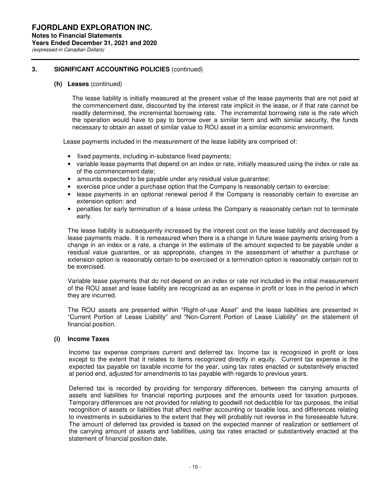### **(h) Leases** (continued)

The lease liability is initially measured at the present value of the lease payments that are not paid at the commencement date, discounted by the interest rate implicit in the lease, or if that rate cannot be readily determined, the incremental borrowing rate. The incremental borrowing rate is the rate which the operation would have to pay to borrow over a similar term and with similar security, the funds necessary to obtain an asset of similar value to ROU asset in a similar economic environment.

Lease payments included in the measurement of the lease liability are comprised of:

- fixed payments, including in-substance fixed payments;
- variable lease payments that depend on an index or rate, initially measured using the index or rate as of the commencement date;
- amounts expected to be payable under any residual value guarantee;
- exercise price under a purchase option that the Company is reasonably certain to exercise:
- lease payments in an optional renewal period if the Company is reasonably certain to exercise an extension option: and
- penalties for early termination of a lease unless the Company is reasonably certain not to terminate early.

The lease liability is subsequently increased by the interest cost on the lease liability and decreased by lease payments made. It is remeasured when there is a change in future lease payments arising from a change in an index or a rate, a change in the estimate of the amount expected to be payable under a residual value guarantee, or as appropriate, changes in the assessment of whether a purchase or extension option is reasonably certain to be exercised or a termination option is reasonably certain not to be exercised.

Variable lease payments that do not depend on an index or rate not included in the initial measurement of the ROU asset and lease liability are recognized as an expense in profit or loss in the period in which they are incurred.

The ROU assets are presented within "Right-of-use Asset" and the lease liabilities are presented in "Current Portion of Lease Liability" and "Non-Current Portion of Lease Liability" on the statement of financial position.

#### **(i) Income Taxes**

Income tax expense comprises current and deferred tax. Income tax is recognized in profit or loss except to the extent that it relates to items recognized directly in equity. Current tax expense is the expected tax payable on taxable income for the year, using tax rates enacted or substantively enacted at period end, adjusted for amendments to tax payable with regards to previous years.

Deferred tax is recorded by providing for temporary differences, between the carrying amounts of assets and liabilities for financial reporting purposes and the amounts used for taxation purposes. Temporary differences are not provided for relating to goodwill not deductible for tax purposes, the initial recognition of assets or liabilities that affect neither accounting or taxable loss, and differences relating to investments in subsidiaries to the extent that they will probably not reverse in the foreseeable future. The amount of deferred tax provided is based on the expected manner of realization or settlement of the carrying amount of assets and liabilities, using tax rates enacted or substantively enacted at the statement of financial position date.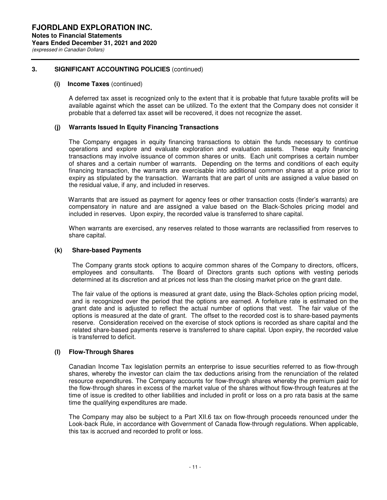### **(i) Income Taxes** (continued)

A deferred tax asset is recognized only to the extent that it is probable that future taxable profits will be available against which the asset can be utilized. To the extent that the Company does not consider it probable that a deferred tax asset will be recovered, it does not recognize the asset.

### **(j) Warrants Issued In Equity Financing Transactions**

The Company engages in equity financing transactions to obtain the funds necessary to continue operations and explore and evaluate exploration and evaluation assets. These equity financing transactions may involve issuance of common shares or units. Each unit comprises a certain number of shares and a certain number of warrants. Depending on the terms and conditions of each equity financing transaction, the warrants are exercisable into additional common shares at a price prior to expiry as stipulated by the transaction. Warrants that are part of units are assigned a value based on the residual value, if any, and included in reserves.

Warrants that are issued as payment for agency fees or other transaction costs (finder's warrants) are compensatory in nature and are assigned a value based on the Black-Scholes pricing model and included in reserves. Upon expiry, the recorded value is transferred to share capital.

When warrants are exercised, any reserves related to those warrants are reclassified from reserves to share capital.

#### **(k) Share-based Payments**

The Company grants stock options to acquire common shares of the Company to directors, officers, employees and consultants. The Board of Directors grants such options with vesting periods determined at its discretion and at prices not less than the closing market price on the grant date.

The fair value of the options is measured at grant date, using the Black-Scholes option pricing model, and is recognized over the period that the options are earned. A forfeiture rate is estimated on the grant date and is adjusted to reflect the actual number of options that vest. The fair value of the options is measured at the date of grant. The offset to the recorded cost is to share-based payments reserve. Consideration received on the exercise of stock options is recorded as share capital and the related share-based payments reserve is transferred to share capital. Upon expiry, the recorded value is transferred to deficit.

### **(l) Flow-Through Shares**

Canadian Income Tax legislation permits an enterprise to issue securities referred to as flow-through shares, whereby the investor can claim the tax deductions arising from the renunciation of the related resource expenditures. The Company accounts for flow-through shares whereby the premium paid for the flow-through shares in excess of the market value of the shares without flow-through features at the time of issue is credited to other liabilities and included in profit or loss on a pro rata basis at the same time the qualifying expenditures are made.

The Company may also be subject to a Part XII.6 tax on flow-through proceeds renounced under the Look-back Rule, in accordance with Government of Canada flow-through regulations. When applicable, this tax is accrued and recorded to profit or loss.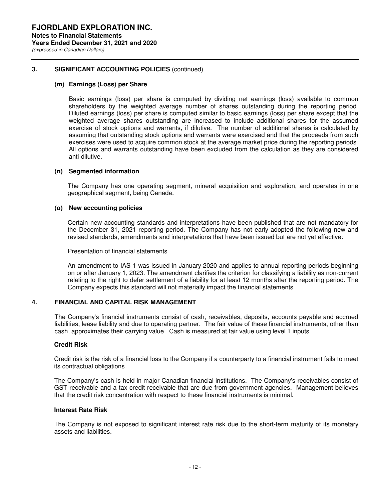### **(m) Earnings (Loss) per Share**

Basic earnings (loss) per share is computed by dividing net earnings (loss) available to common shareholders by the weighted average number of shares outstanding during the reporting period. Diluted earnings (loss) per share is computed similar to basic earnings (loss) per share except that the weighted average shares outstanding are increased to include additional shares for the assumed exercise of stock options and warrants, if dilutive. The number of additional shares is calculated by assuming that outstanding stock options and warrants were exercised and that the proceeds from such exercises were used to acquire common stock at the average market price during the reporting periods. All options and warrants outstanding have been excluded from the calculation as they are considered anti-dilutive.

### **(n) Segmented information**

The Company has one operating segment, mineral acquisition and exploration, and operates in one geographical segment, being Canada.

### **(o) New accounting policies**

Certain new accounting standards and interpretations have been published that are not mandatory for the December 31, 2021 reporting period. The Company has not early adopted the following new and revised standards, amendments and interpretations that have been issued but are not yet effective:

Presentation of financial statements

An amendment to IAS 1 was issued in January 2020 and applies to annual reporting periods beginning on or after January 1, 2023. The amendment clarifies the criterion for classifying a liability as non-current relating to the right to defer settlement of a liability for at least 12 months after the reporting period. The Company expects this standard will not materially impact the financial statements.

### **4. FINANCIAL AND CAPITAL RISK MANAGEMENT**

The Company's financial instruments consist of cash, receivables, deposits, accounts payable and accrued liabilities, lease liability and due to operating partner. The fair value of these financial instruments, other than cash, approximates their carrying value. Cash is measured at fair value using level 1 inputs.

#### **Credit Risk**

Credit risk is the risk of a financial loss to the Company if a counterparty to a financial instrument fails to meet its contractual obligations.

The Company's cash is held in major Canadian financial institutions. The Company's receivables consist of GST receivable and a tax credit receivable that are due from government agencies. Management believes that the credit risk concentration with respect to these financial instruments is minimal.

#### **Interest Rate Risk**

The Company is not exposed to significant interest rate risk due to the short-term maturity of its monetary assets and liabilities.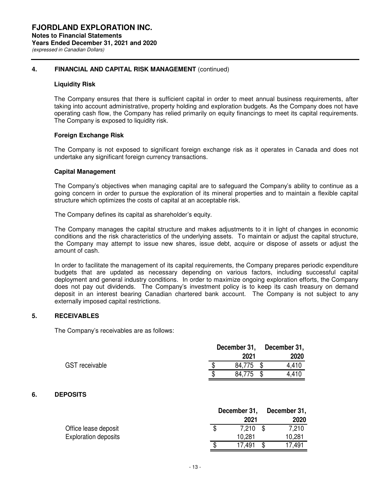### **4. FINANCIAL AND CAPITAL RISK MANAGEMENT** (continued)

#### **Liquidity Risk**

The Company ensures that there is sufficient capital in order to meet annual business requirements, after taking into account administrative, property holding and exploration budgets. As the Company does not have operating cash flow, the Company has relied primarily on equity financings to meet its capital requirements. The Company is exposed to liquidity risk.

### **Foreign Exchange Risk**

The Company is not exposed to significant foreign exchange risk as it operates in Canada and does not undertake any significant foreign currency transactions.

#### **Capital Management**

The Company's objectives when managing capital are to safeguard the Company's ability to continue as a going concern in order to pursue the exploration of its mineral properties and to maintain a flexible capital structure which optimizes the costs of capital at an acceptable risk.

The Company defines its capital as shareholder's equity.

The Company manages the capital structure and makes adjustments to it in light of changes in economic conditions and the risk characteristics of the underlying assets. To maintain or adjust the capital structure, the Company may attempt to issue new shares, issue debt, acquire or dispose of assets or adjust the amount of cash.

In order to facilitate the management of its capital requirements, the Company prepares periodic expenditure budgets that are updated as necessary depending on various factors, including successful capital deployment and general industry conditions. In order to maximize ongoing exploration efforts, the Company does not pay out dividends. The Company's investment policy is to keep its cash treasury on demand deposit in an interest bearing Canadian chartered bank account. The Company is not subject to any externally imposed capital restrictions.

### **5. RECEIVABLES**

The Company's receivables are as follows:

|                       | December 31, | December 31, |
|-----------------------|--------------|--------------|
|                       | 2021         | 2020         |
| <b>GST</b> receivable | 84.775       | 4.410        |
|                       | 84,775       | 4.410        |

### **6. DEPOSITS**

|                             |    | December 31, | December 31, |        |  |
|-----------------------------|----|--------------|--------------|--------|--|
|                             |    | 2021         |              | 2020   |  |
| Office lease deposit        | S  | 7.210        |              | 7,210  |  |
| <b>Exploration deposits</b> |    | 10,281       |              | 10,281 |  |
|                             | \$ | 17.491       |              | 17.491 |  |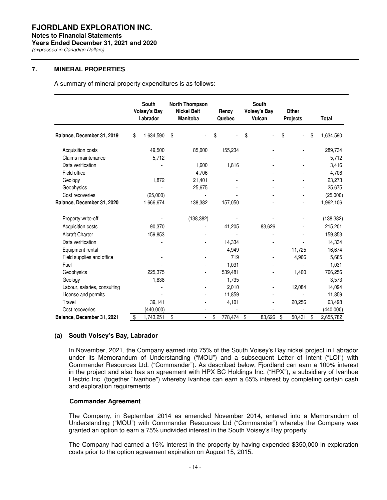**FJORDLAND EXPLORATION INC. Notes to Financial Statements Years Ended December 31, 2021 and 2020** 

(expressed in Canadian Dollars)

### **7. MINERAL PROPERTIES**

A summary of mineral property expenditures is as follows:

|                              | South<br><b>Voisey's Bay</b><br>Labrador |    | <b>North Thompson</b><br><b>Nickel Belt</b><br>Manitoba | Renzy<br>Quebec |    | <b>South</b><br><b>Voisey's Bay</b><br><b>Other</b><br>Vulcan<br>Projects |              | Total           |
|------------------------------|------------------------------------------|----|---------------------------------------------------------|-----------------|----|---------------------------------------------------------------------------|--------------|-----------------|
| Balance, December 31, 2019   | \$<br>1,634,590                          | \$ | $\overline{\phantom{a}}$                                | \$<br>÷,        | \$ |                                                                           | \$           | \$<br>1,634,590 |
| Acquisition costs            | 49,500                                   |    | 85,000                                                  | 155,234         |    |                                                                           |              | 289,734         |
| Claims maintenance           | 5,712                                    |    |                                                         |                 |    |                                                                           |              | 5,712           |
| Data verification            |                                          |    | 1,600                                                   | 1,816           |    |                                                                           |              | 3,416           |
| Field office                 |                                          |    | 4,706                                                   |                 |    |                                                                           |              | 4,706           |
| Geology                      | 1,872                                    |    | 21,401                                                  |                 |    |                                                                           |              | 23,273          |
| Geophysics                   |                                          |    | 25,675                                                  |                 |    |                                                                           |              | 25,675          |
| Cost recoveries              | (25,000)                                 |    |                                                         |                 |    |                                                                           |              | (25,000)        |
| Balance, December 31, 2020   | 1,666,674                                |    | 138,382                                                 | 157,050         |    | $\overline{\phantom{a}}$                                                  | ÷,           | 1,962,106       |
| Property write-off           |                                          |    | (138, 382)                                              |                 |    |                                                                           |              | (138, 382)      |
| Acquisition costs            | 90,370                                   |    |                                                         | 41,205          |    | 83,626                                                                    |              | 215,201         |
| <b>Aicraft Charter</b>       | 159,853                                  |    |                                                         |                 |    |                                                                           |              | 159,853         |
| Data verification            |                                          |    |                                                         | 14,334          |    |                                                                           |              | 14,334          |
| Equipment rental             |                                          |    |                                                         | 4,949           |    |                                                                           | 11,725       | 16,674          |
| Field supplies and office    |                                          |    |                                                         | 719             |    |                                                                           | 4,966        | 5,685           |
| Fuel                         |                                          |    |                                                         | 1,031           |    |                                                                           |              | 1,031           |
| Geophysics                   | 225,375                                  |    |                                                         | 539,481         |    |                                                                           | 1,400        | 766,256         |
| Geology                      | 1,838                                    |    |                                                         | 1,735           |    |                                                                           |              | 3,573           |
| Labour, salaries, consulting |                                          |    |                                                         | 2,010           |    |                                                                           | 12,084       | 14,094          |
| License and permits          |                                          |    |                                                         | 11,859          |    |                                                                           |              | 11,859          |
| Travel                       | 39,141                                   |    |                                                         | 4,101           |    |                                                                           | 20,256       | 63,498          |
| Cost recoveries              | (440,000)                                |    |                                                         |                 |    |                                                                           |              | (440,000)       |
| Balance, December 31, 2021   | \$<br>1,743,251                          | \$ | $\overline{\phantom{a}}$                                | \$<br>778,474   | \$ | 83,626                                                                    | \$<br>50,431 | \$<br>2,655,782 |

#### **(a) South Voisey's Bay, Labrador**

In November, 2021, the Company earned into 75% of the South Voisey's Bay nickel project in Labrador under its Memorandum of Understanding ("MOU") and a subsequent Letter of Intent ("LOI") with Commander Resources Ltd. ("Commander"). As described below, Fjordland can earn a 100% interest in the project and also has an agreement with HPX BC Holdings Inc. ("HPX"), a subsidiary of Ivanhoe Electric Inc. (together "Ivanhoe") whereby Ivanhoe can earn a 65% interest by completing certain cash and exploration requirements.

#### **Commander Agreement**

The Company, in September 2014 as amended November 2014, entered into a Memorandum of Understanding ("MOU") with Commander Resources Ltd ("Commander") whereby the Company was granted an option to earn a 75% undivided interest in the South Voisey's Bay property.

The Company had earned a 15% interest in the property by having expended \$350,000 in exploration costs prior to the option agreement expiration on August 15, 2015.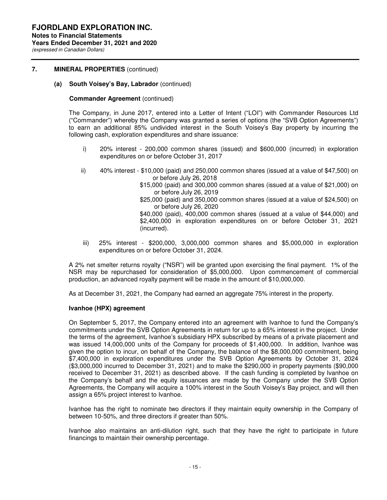### **7. MINERAL PROPERTIES** (continued)

**(a) South Voisey's Bay, Labrador** (continued)

### **Commander Agreement** (continued)

The Company, in June 2017, entered into a Letter of Intent ("LOI") with Commander Resources Ltd ("Commander") whereby the Company was granted a series of options (the "SVB Option Agreements") to earn an additional 85% undivided interest in the South Voisey's Bay property by incurring the following cash, exploration expenditures and share issuance:

- i) 20% interest 200,000 common shares (issued) and \$600,000 (incurred) in exploration expenditures on or before October 31, 2017
- ii) 40% interest \$10,000 (paid) and 250,000 common shares (issued at a value of \$47,500) on or before July 26, 2018
	- \$15,000 (paid) and 300,000 common shares (issued at a value of \$21,000) on or before July 26, 2019
	- \$25,000 (paid) and 350,000 common shares (issued at a value of \$24,500) on or before July 26, 2020

\$40,000 (paid), 400,000 common shares (issued at a value of \$44,000) and \$2,400,000 in exploration expenditures on or before October 31, 2021 (incurred).

iii) 25% interest - \$200,000, 3,000,000 common shares and \$5,000,000 in exploration expenditures on or before October 31, 2024.

A 2% net smelter returns royalty ("NSR") will be granted upon exercising the final payment. 1% of the NSR may be repurchased for consideration of \$5,000,000. Upon commencement of commercial production, an advanced royalty payment will be made in the amount of \$10,000,000.

As at December 31, 2021, the Company had earned an aggregate 75% interest in the property.

#### **Ivanhoe (HPX) agreement**

On September 5, 2017, the Company entered into an agreement with Ivanhoe to fund the Company's commitments under the SVB Option Agreements in return for up to a 65% interest in the project. Under the terms of the agreement, Ivanhoe's subsidiary HPX subscribed by means of a private placement and was issued 14,000,000 units of the Company for proceeds of \$1,400,000. In addition, Ivanhoe was given the option to incur, on behalf of the Company, the balance of the \$8,000,000 commitment, being \$7,400,000 in exploration expenditures under the SVB Option Agreements by October 31, 2024 (\$3,000,000 incurred to December 31, 2021) and to make the \$290,000 in property payments (\$90,000 received to December 31, 2021) as described above. If the cash funding is completed by Ivanhoe on the Company's behalf and the equity issuances are made by the Company under the SVB Option Agreements, the Company will acquire a 100% interest in the South Voisey's Bay project, and will then assign a 65% project interest to Ivanhoe.

Ivanhoe has the right to nominate two directors if they maintain equity ownership in the Company of between 10-50%, and three directors if greater than 50%.

Ivanhoe also maintains an anti-dilution right, such that they have the right to participate in future financings to maintain their ownership percentage.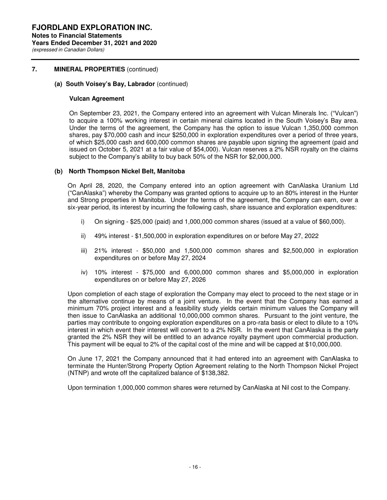### **7. MINERAL PROPERTIES** (continued)

### **(a) South Voisey's Bay, Labrador** (continued)

#### **Vulcan Agreement**

On September 23, 2021, the Company entered into an agreement with Vulcan Minerals Inc. ("Vulcan") to acquire a 100% working interest in certain mineral claims located in the South Voisey's Bay area. Under the terms of the agreement, the Company has the option to issue Vulcan 1,350,000 common shares, pay \$70,000 cash and incur \$250,000 in exploration expenditures over a period of three years, of which \$25,000 cash and 600,000 common shares are payable upon signing the agreement (paid and issued on October 5, 2021 at a fair value of \$54,000). Vulcan reserves a 2% NSR royalty on the claims subject to the Company's ability to buy back 50% of the NSR for \$2,000,000.

### **(b) North Thompson Nickel Belt, Manitoba**

On April 28, 2020, the Company entered into an option agreement with CanAlaska Uranium Ltd ("CanAlaska") whereby the Company was granted options to acquire up to an 80% interest in the Hunter and Strong properties in Manitoba. Under the terms of the agreement, the Company can earn, over a six-year period, its interest by incurring the following cash, share issuance and exploration expenditures:

- i) On signing \$25,000 (paid) and 1,000,000 common shares (issued at a value of \$60,000).
- ii) 49% interest \$1,500,000 in exploration expenditures on or before May 27, 2022
- iii) 21% interest \$50,000 and 1,500,000 common shares and \$2,500,000 in exploration expenditures on or before May 27, 2024
- iv) 10% interest \$75,000 and 6,000,000 common shares and \$5,000,000 in exploration expenditures on or before May 27, 2026

Upon completion of each stage of exploration the Company may elect to proceed to the next stage or in the alternative continue by means of a joint venture. In the event that the Company has earned a minimum 70% project interest and a feasibility study yields certain minimum values the Company will then issue to CanAlaska an additional 10,000,000 common shares. Pursuant to the joint venture, the parties may contribute to ongoing exploration expenditures on a pro-rata basis or elect to dilute to a 10% interest in which event their interest will convert to a 2% NSR. In the event that CanAlaska is the party granted the 2% NSR they will be entitled to an advance royalty payment upon commercial production. This payment will be equal to 2% of the capital cost of the mine and will be capped at \$10,000,000.

On June 17, 2021 the Company announced that it had entered into an agreement with CanAlaska to terminate the Hunter/Strong Property Option Agreement relating to the North Thompson Nickel Project (NTNP) and wrote off the capitalized balance of \$138,382.

Upon termination 1,000,000 common shares were returned by CanAlaska at Nil cost to the Company.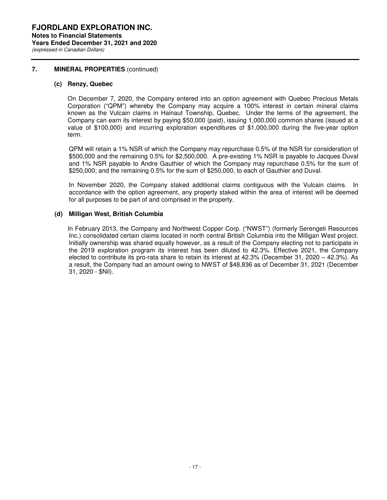### **7. MINERAL PROPERTIES** (continued)

#### **(c) Renzy, Quebec**

On December 7, 2020, the Company entered into an option agreement with Quebec Precious Metals Corporation ("QPM") whereby the Company may acquire a 100% interest in certain mineral claims known as the Vulcain claims in Hainaut Township, Quebec. Under the terms of the agreement, the Company can earn its interest by paying \$50,000 (paid), issuing 1,000,000 common shares (issued at a value of \$100,000) and incurring exploration expenditures of \$1,000,000 during the five-year option term.

QPM will retain a 1% NSR of which the Company may repurchase 0.5% of the NSR for consideration of \$500,000 and the remaining 0.5% for \$2,500,000. A pre-existing 1% NSR is payable to Jacques Duval and 1% NSR payable to Andre Gauthier of which the Company may repurchase 0.5% for the sum of \$250,000; and the remaining 0.5% for the sum of \$250,000, to each of Gauthier and Duval.

In November 2020, the Company staked additional claims contiguous with the Vulcain claims. In accordance with the option agreement, any property staked within the area of interest will be deemed for all purposes to be part of and comprised in the property.

### **(d) Milligan West, British Columbia**

In February 2013, the Company and Northwest Copper Corp. ("NWST") (formerly Serengeti Resources Inc.) consolidated certain claims located in north central British Columbia into the Milligan West project. Initially ownership was shared equally however, as a result of the Company electing not to participate in the 2019 exploration program its interest has been diluted to 42.3%. Effective 2021, the Company elected to contribute its pro-rata share to retain its interest at 42.3% (December 31, 2020 – 42.3%). As a result, the Company had an amount owing to NWST of \$48,836 as of December 31, 2021 (December 31, 2020 - \$Nil).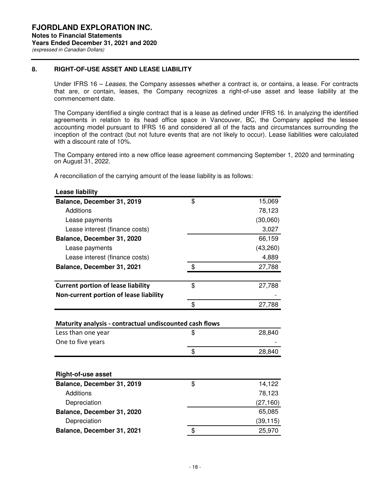### **8. RIGHT-OF-USE ASSET AND LEASE LIABILITY**

Under IFRS 16 – Leases, the Company assesses whether a contract is, or contains, a lease. For contracts that are, or contain, leases, the Company recognizes a right-of-use asset and lease liability at the commencement date.

The Company identified a single contract that is a lease as defined under IFRS 16. In analyzing the identified agreements in relation to its head office space in Vancouver, BC, the Company applied the lessee accounting model pursuant to IFRS 16 and considered all of the facts and circumstances surrounding the inception of the contract (but not future events that are not likely to occur). Lease liabilities were calculated with a discount rate of 10%.

The Company entered into a new office lease agreement commencing September 1, 2020 and terminating on August 31, 2022.

A reconciliation of the carrying amount of the lease liability is as follows:

| Balance, December 31, 2019                              | \$<br>15,069 |
|---------------------------------------------------------|--------------|
| Additions                                               | 78,123       |
| Lease payments                                          | (30,060)     |
| Lease interest (finance costs)                          | 3,027        |
| Balance, December 31, 2020                              | 66,159       |
| Lease payments                                          | (43, 260)    |
| Lease interest (finance costs)                          | 4,889        |
| Balance, December 31, 2021                              | \$<br>27,788 |
| <b>Current portion of lease liability</b>               | \$<br>27,788 |
| Non-current portion of lease liability                  |              |
|                                                         | \$<br>27,788 |
| Maturity analysis - contractual undiscounted cash flows |              |
| Less than one year                                      |              |
|                                                         | \$<br>28,840 |
| One to five years                                       |              |
|                                                         | \$<br>28,840 |
| <b>Right-of-use asset</b>                               |              |
| Balance, December 31, 2019                              | \$<br>14,122 |
| Additions                                               | 78,123       |
| Depreciation                                            | (27, 160)    |
| Balance, December 31, 2020                              | 65,085       |
| Depreciation                                            | (39,115)     |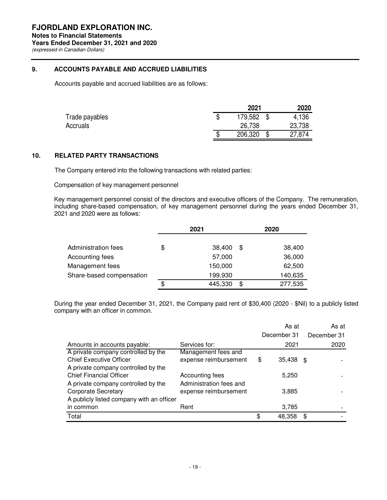### **9. ACCOUNTS PAYABLE AND ACCRUED LIABILITIES**

Accounts payable and accrued liabilities are as follows:

|                | 2021          |   |        |
|----------------|---------------|---|--------|
| Trade payables | \$<br>179,582 |   | 4,136  |
| Accruals       | 26,738        |   | 23,738 |
|                | \$<br>206,320 | ง | 27,874 |

### **10. RELATED PARTY TRANSACTIONS**

The Company entered into the following transactions with related parties:

Compensation of key management personnel

Key management personnel consist of the directors and executive officers of the Company. The remuneration, including share-based compensation, of key management personnel during the years ended December 31, 2021 and 2020 were as follows:

|                          | 2021 |         |    | 2020    |  |  |  |
|--------------------------|------|---------|----|---------|--|--|--|
|                          |      |         |    |         |  |  |  |
| Administration fees      | \$   | 38,400  | \$ | 38,400  |  |  |  |
| Accounting fees          |      | 57,000  |    | 36,000  |  |  |  |
| Management fees          |      | 150,000 |    | 62,500  |  |  |  |
| Share-based compensation |      | 199,930 |    | 140,635 |  |  |  |
|                          | \$   | 445,330 | \$ | 277,535 |  |  |  |

During the year ended December 31, 2021, the Company paid rent of \$30,400 (2020 - \$Nil) to a publicly listed company with an officer in common.

|                                           |                         | As at        |     | As at       |
|-------------------------------------------|-------------------------|--------------|-----|-------------|
|                                           |                         | December 31  |     | December 31 |
| Amounts in accounts payable:              | Services for:           | 2021         |     | 2020        |
| A private company controlled by the       | Management fees and     |              |     |             |
| <b>Chief Executive Officer</b>            | expense reimbursement   | \$<br>35,438 | -\$ |             |
| A private company controlled by the       |                         |              |     |             |
| <b>Chief Financial Officer</b>            | Accounting fees         | 5,250        |     |             |
| A private company controlled by the       | Administration fees and |              |     |             |
| <b>Corporate Secretary</b>                | expense reimbursement   | 3,885        |     |             |
| A publicly listed company with an officer |                         |              |     |             |
| in common                                 | Rent                    | 3,785        |     |             |
| Total                                     |                         | \$<br>48,358 | \$  |             |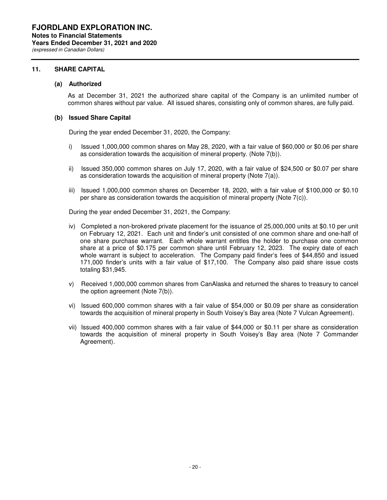### **11. SHARE CAPITAL**

#### **(a) Authorized**

As at December 31, 2021 the authorized share capital of the Company is an unlimited number of common shares without par value. All issued shares, consisting only of common shares, are fully paid.

### **(b) Issued Share Capital**

During the year ended December 31, 2020, the Company:

- i) Issued 1,000,000 common shares on May 28, 2020, with a fair value of \$60,000 or \$0.06 per share as consideration towards the acquisition of mineral property. (Note 7(b)).
- ii) Issued 350,000 common shares on July 17, 2020, with a fair value of \$24,500 or \$0.07 per share as consideration towards the acquisition of mineral property (Note 7(a)).
- iii) Issued 1,000,000 common shares on December 18, 2020, with a fair value of \$100,000 or \$0.10 per share as consideration towards the acquisition of mineral property (Note 7(c)).

During the year ended December 31, 2021, the Company:

- iv) Completed a non-brokered private placement for the issuance of 25,000,000 units at \$0.10 per unit on February 12, 2021. Each unit and finder's unit consisted of one common share and one-half of one share purchase warrant. Each whole warrant entitles the holder to purchase one common share at a price of \$0.175 per common share until February 12, 2023. The expiry date of each whole warrant is subject to acceleration. The Company paid finder's fees of \$44,850 and issued 171,000 finder's units with a fair value of \$17,100. The Company also paid share issue costs totaling \$31,945.
- v) Received 1,000,000 common shares from CanAlaska and returned the shares to treasury to cancel the option agreement (Note 7(b)).
- vi) Issued 600,000 common shares with a fair value of \$54,000 or \$0.09 per share as consideration towards the acquisition of mineral property in South Voisey's Bay area (Note 7 Vulcan Agreement).
- vii) Issued 400,000 common shares with a fair value of \$44,000 or \$0.11 per share as consideration towards the acquisition of mineral property in South Voisey's Bay area (Note 7 Commander Agreement).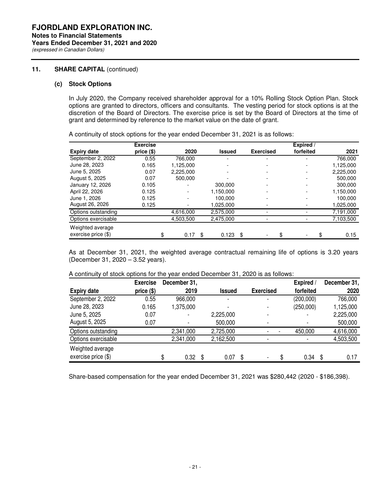### 11. **SHARE CAPITAL** (continued)

### **(c) Stock Options**

In July 2020, the Company received shareholder approval for a 10% Rolling Stock Option Plan. Stock options are granted to directors, officers and consultants. The vesting period for stock options is at the discretion of the Board of Directors. The exercise price is set by the Board of Directors at the time of grant and determined by reference to the market value on the date of grant.

|                       | <b>Exercise</b> |            |                          |                  | Expired /                |           |
|-----------------------|-----------------|------------|--------------------------|------------------|--------------------------|-----------|
| <b>Expiry date</b>    | price (\$)      | 2020       | <b>Issued</b>            | <b>Exercised</b> | forfeited                | 2021      |
| September 2, 2022     | 0.55            | 766,000    | $\overline{\phantom{0}}$ |                  |                          | 766,000   |
| June 28, 2023         | 0.165           | 1.125.000  |                          |                  |                          | 1,125,000 |
| June 5, 2025          | 0.07            | 2,225,000  |                          |                  |                          | 2,225,000 |
| August 5, 2025        | 0.07            | 500,000    |                          |                  | $\overline{\phantom{0}}$ | 500,000   |
| January 12, 2026      | 0.105           |            | 300,000                  |                  |                          | 300,000   |
| April 22, 2026        | 0.125           |            | 1,150,000                |                  |                          | 1,150,000 |
| June 1, 2026          | 0.125           |            | 100,000                  |                  |                          | 100,000   |
| August 26, 2026       | 0.125           |            | 1,025,000                |                  |                          | 1,025,000 |
| Options outstanding   |                 | 4,616,000  | 2,575,000                |                  |                          | 7,191,000 |
| Options exercisable   |                 | 4,503,500  | 2,475,000                |                  |                          | 7,103,500 |
| Weighted average      |                 |            |                          |                  |                          |           |
| exercise price $(\$)$ |                 | 0.17<br>\$ | \$<br>0.123              | \$               |                          | 0.15      |

A continuity of stock options for the year ended December 31, 2021 is as follows:

As at December 31, 2021, the weighted average contractual remaining life of options is 3.20 years (December 31, 2020 – 3.52 years).

|                       | <b>Exercise</b> | December 31, |      |                          |     |                  | Expired /  | December 31, |
|-----------------------|-----------------|--------------|------|--------------------------|-----|------------------|------------|--------------|
| <b>Expiry date</b>    | $price($)$      |              | 2019 | <b>Issued</b>            |     | <b>Exercised</b> | forfeited  | 2020         |
| September 2, 2022     | 0.55            | 966,000      |      | $\overline{\phantom{a}}$ |     | ۰                | (200,000)  | 766,000      |
| June 28, 2023         | 0.165           | 1,375,000    |      |                          |     |                  | (250,000)  | 1,125,000    |
| June 5, 2025          | 0.07            |              |      | 2,225,000                |     |                  |            | 2,225,000    |
| August 5, 2025        | 0.07            |              |      | 500,000                  |     |                  |            | 500,000      |
| Options outstanding   |                 | 2,341,000    |      | 2,725,000                |     |                  | 450,000    | 4,616,000    |
| Options exercisable   |                 | 2,341,000    |      | 2,162,500                |     | -                |            | 4,503,500    |
| Weighted average      |                 |              |      |                          |     |                  |            |              |
| exercise price $(\$)$ |                 | 0.32<br>\$   | \$   | 0.07                     | \$. |                  | \$<br>0.34 | 0.17         |

Share-based compensation for the year ended December 31, 2021 was \$280,442 (2020 - \$186,398).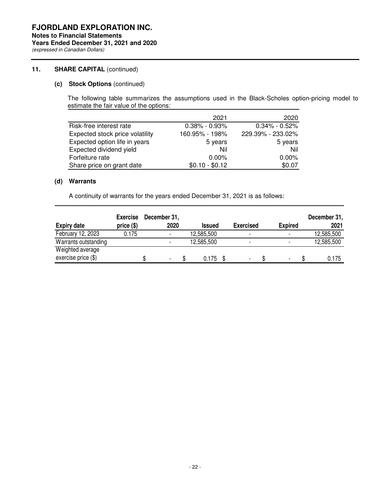### 11. **SHARE CAPITAL** (continued)

### **(c) Stock Options** (continued)

The following table summarizes the assumptions used in the Black-Scholes option-pricing model to estimate the fair value of the options:

|                                 | 2021              | 2020              |
|---------------------------------|-------------------|-------------------|
| Risk-free interest rate         | $0.38\% - 0.93\%$ | $0.34\% - 0.52\%$ |
| Expected stock price volatility | 160.95% - 198%    | 229.39% - 233.02% |
| Expected option life in years   | 5 years           | 5 years           |
| Expected dividend yield         | Nil               | Nil               |
| Forfeiture rate                 | $0.00\%$          | $0.00\%$          |
| Share price on grant date       | $$0.10 - $0.12$   | \$0.07            |

### **(d) Warrants**

A continuity of warrants for the years ended December 31, 2021 is as follows:

|                       | <b>Exercise</b> | December 31,             |      |               |                  |                | December 31, |
|-----------------------|-----------------|--------------------------|------|---------------|------------------|----------------|--------------|
| <b>Expiry date</b>    | price (\$)      |                          | 2020 | <b>Issued</b> | <b>Exercised</b> | <b>Expired</b> | 2021         |
| February 12, 2023     | 0.175           | $\overline{\phantom{0}}$ |      | 12,585,500    | ۰                | ۰              | 12,585,500   |
| Warrants outstanding  |                 |                          |      | 12,585,500    | -                | -              | 12,585,500   |
| Weighted average      |                 |                          |      |               |                  |                |              |
| exercise price $(\$)$ |                 | $\overline{\phantom{0}}$ |      | 0.175         |                  | -              | 0.175        |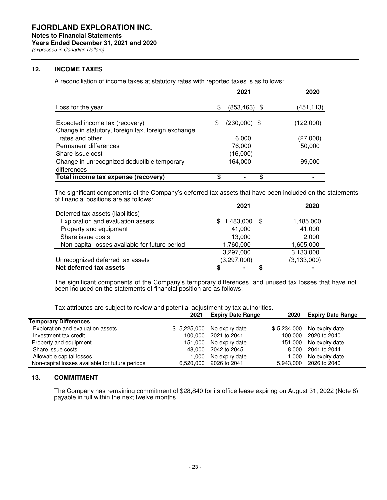### **12. INCOME TAXES**

A reconciliation of income taxes at statutory rates with reported taxes is as follows:

|                                                    | 2021                 | 2020      |
|----------------------------------------------------|----------------------|-----------|
| Loss for the year                                  | $(853, 463)$ \$      | (451,113) |
| Expected income tax (recovery)                     | $(230,000)$ \$<br>\$ | (122,000) |
| Change in statutory, foreign tax, foreign exchange |                      |           |
| rates and other                                    | 6,000                | (27,000)  |
| Permanent differences                              | 76,000               | 50,000    |
| Share issue cost                                   | (16,000)             |           |
| Change in unrecognized deductible temporary        | 164,000              | 99,000    |
| differences                                        |                      |           |
| Total income tax expense (recovery)                | S                    |           |

The significant components of the Company's deferred tax assets that have been included on the statements of financial positions are as follows:

|                                                | 2021                     | 2020          |
|------------------------------------------------|--------------------------|---------------|
| Deferred tax assets (liabilities)              |                          |               |
| Exploration and evaluation assets              | 1,483,000<br>\$.<br>- \$ | 1,485,000     |
| Property and equipment                         | 41,000                   | 41,000        |
| Share issue costs                              | 13,000                   | 2,000         |
| Non-capital losses available for future period | 1,760,000                | 1,605,000     |
|                                                | 3,297,000                | 3,133,000     |
| Unrecognized deferred tax assets               | (3,297,000)              | (3, 133, 000) |
| Net deferred tax assets                        | ۰                        |               |

The significant components of the Company's temporary differences, and unused tax losses that have not been included on the statements of financial position are as follows:

Tax attributes are subject to review and potential adjustment by tax authorities.

|                                                 | 2021    | <b>Expiry Date Range</b>   | 2020        | <b>Expiry Date Range</b> |
|-------------------------------------------------|---------|----------------------------|-------------|--------------------------|
| <b>Temporary Differences</b>                    |         |                            |             |                          |
| Exploration and evaluation assets               |         | \$5,225,000 No expiry date | \$5,234,000 | No expiry date           |
| Investment tax credit                           | 100.000 | 2021 to 2041               | 100.000     | 2020 to 2040             |
| Property and equipment                          |         | 151,000 No expiry date     | 151.000     | No expiry date           |
| Share issue costs                               | 48.000  | 2042 to 2045               | 8.000       | 2041 to 2044             |
| Allowable capital losses                        | 1.000   | No expiry date             | 1.000       | No expiry date           |
| Non-capital losses available for future periods |         | 6,520,000 2026 to 2041     |             | 5.943.000 2026 to 2040   |

### **13. COMMITMENT**

The Company has remaining commitment of \$28,840 for its office lease expiring on August 31, 2022 (Note 8) payable in full within the next twelve months.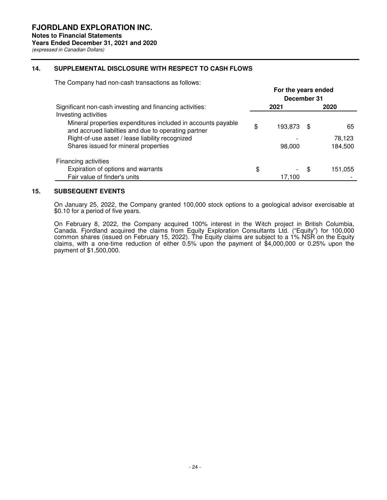### **14. SUPPLEMENTAL DISCLOSURE WITH RESPECT TO CASH FLOWS**

The Company had non-cash transactions as follows:

|                                                                                                                     | For the years ended<br>December 31 |         |    |         |  |  |  |  |
|---------------------------------------------------------------------------------------------------------------------|------------------------------------|---------|----|---------|--|--|--|--|
| Significant non-cash investing and financing activities:<br>Investing activities                                    | 2020<br>2021                       |         |    |         |  |  |  |  |
| Mineral properties expenditures included in accounts payable<br>and accrued liabilties and due to operating partner | \$                                 | 193.873 | \$ | 65      |  |  |  |  |
| Right-of-use asset / lease liability recognized                                                                     |                                    |         |    | 78,123  |  |  |  |  |
| Shares issued for mineral properties                                                                                |                                    | 98,000  |    | 184,500 |  |  |  |  |
| Financing activities                                                                                                |                                    |         |    |         |  |  |  |  |
| Expiration of options and warrants                                                                                  | \$                                 |         | \$ | 151,055 |  |  |  |  |
| Fair value of finder's units                                                                                        |                                    | 17.100  |    |         |  |  |  |  |

### **15. SUBSEQUENT EVENTS**

On January 25, 2022, the Company granted 100,000 stock options to a geological advisor exercisable at \$0.10 for a period of five years.

On February 8, 2022, the Company acquired 100% interest in the Witch project in British Columbia, Canada. Fjordland acquired the claims from Equity Exploration Consultants Ltd. ("Equity") for 100,000 common shares (issued on February 15, 2022). The Equity claims are subject to a 1% NSR on the Equity claims, with a one-time reduction of either 0.5% upon the payment of \$4,000,000 or 0.25% upon the payment of \$1,500,000.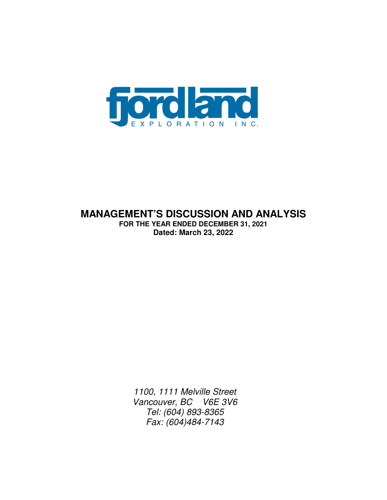

# **MANAGEMENT'S DISCUSSION AND ANALYSIS**

**FOR THE YEAR ENDED DECEMBER 31, 2021 Dated: March 23, 2022** 

> 1100, 1111 Melville Street Vancouver, BC V6E 3V6 Tel: (604) 893-8365 Fax: (604)484-7143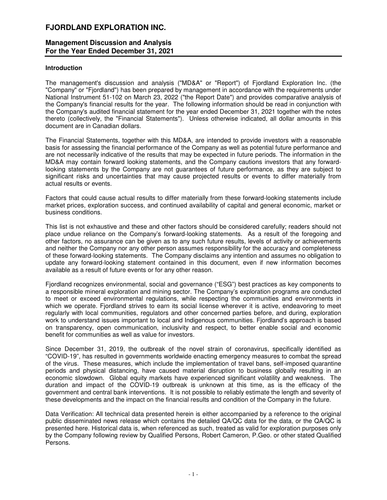### **Management Discussion and Analysis For the Year Ended December 31, 2021**

### **Introduction**

The management's discussion and analysis ("MD&A" or "Report") of Fjordland Exploration Inc. (the "Company" or "Fjordland") has been prepared by management in accordance with the requirements under National Instrument 51-102 on March 23, 2022 ("the Report Date") and provides comparative analysis of the Company's financial results for the year. The following information should be read in conjunction with the Company's audited financial statement for the year ended December 31, 2021 together with the notes thereto (collectively, the "Financial Statements"). Unless otherwise indicated, all dollar amounts in this document are in Canadian dollars.

The Financial Statements, together with this MD&A, are intended to provide investors with a reasonable basis for assessing the financial performance of the Company as well as potential future performance and are not necessarily indicative of the results that may be expected in future periods. The information in the MD&A may contain forward looking statements, and the Company cautions investors that any forwardlooking statements by the Company are not guarantees of future performance, as they are subject to significant risks and uncertainties that may cause projected results or events to differ materially from actual results or events.

Factors that could cause actual results to differ materially from these forward-looking statements include market prices, exploration success, and continued availability of capital and general economic, market or business conditions.

This list is not exhaustive and these and other factors should be considered carefully; readers should not place undue reliance on the Company's forward-looking statements. As a result of the foregoing and other factors, no assurance can be given as to any such future results, levels of activity or achievements and neither the Company nor any other person assumes responsibility for the accuracy and completeness of these forward-looking statements. The Company disclaims any intention and assumes no obligation to update any forward-looking statement contained in this document, even if new information becomes available as a result of future events or for any other reason.

Fjordland recognizes environmental, social and governance ("ESG") best practices as key components to a responsible mineral exploration and mining sector. The Company's exploration programs are conducted to meet or exceed environmental regulations, while respecting the communities and environments in which we operate. Fjordland strives to earn its social license wherever it is active, endeavoring to meet regularly with local communities, regulators and other concerned parties before, and during, exploration work to understand issues important to local and Indigenous communities. Fjordland's approach is based on transparency, open communication, inclusivity and respect, to better enable social and economic benefit for communities as well as value for investors.

Since December 31, 2019, the outbreak of the novel strain of coronavirus, specifically identified as "COVID-19", has resulted in governments worldwide enacting emergency measures to combat the spread of the virus. These measures, which include the implementation of travel bans, self-imposed quarantine periods and physical distancing, have caused material disruption to business globally resulting in an economic slowdown. Global equity markets have experienced significant volatility and weakness. The duration and impact of the COVID-19 outbreak is unknown at this time, as is the efficacy of the government and central bank interventions. It is not possible to reliably estimate the length and severity of these developments and the impact on the financial results and condition of the Company in the future.

Data Verification: All technical data presented herein is either accompanied by a reference to the original public disseminated news release which contains the detailed QA/QC data for the data, or the QA/QC is presented here. Historical data is, when referenced as such, treated as valid for exploration purposes only by the Company following review by Qualified Persons, Robert Cameron, P.Geo. or other stated Qualified Persons.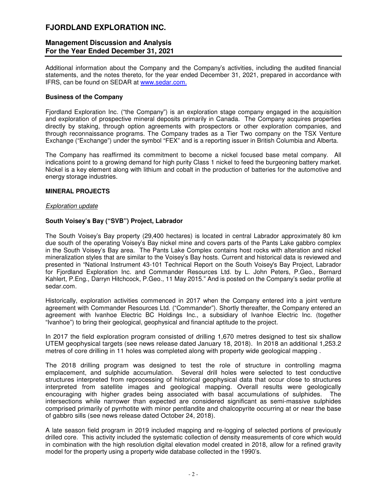### **Management Discussion and Analysis For the Year Ended December 31, 2021**

Additional information about the Company and the Company's activities, including the audited financial statements, and the notes thereto, for the year ended December 31, 2021, prepared in accordance with IFRS, can be found on SEDAR at www.sedar.com.

### **Business of the Company**

Fjordland Exploration Inc. ("the Company") is an exploration stage company engaged in the acquisition and exploration of prospective mineral deposits primarily in Canada. The Company acquires properties directly by staking, through option agreements with prospectors or other exploration companies, and through reconnaissance programs. The Company trades as a Tier Two company on the TSX Venture Exchange ("Exchange") under the symbol "FEX" and is a reporting issuer in British Columbia and Alberta.

The Company has reaffirmed its commitment to become a nickel focused base metal company. All indications point to a growing demand for high purity Class 1 nickel to feed the burgeoning battery market. Nickel is a key element along with lithium and cobalt in the production of batteries for the automotive and energy storage industries.

### **MINERAL PROJECTS**

### Exploration update

### **South Voisey's Bay ("SVB") Project, Labrador**

The South Voisey's Bay property (29,400 hectares) is located in central Labrador approximately 80 km due south of the operating Voisey's Bay nickel mine and covers parts of the Pants Lake gabbro complex in the South Voisey's Bay area. The Pants Lake Complex contains host rocks with alteration and nickel mineralization styles that are similar to the Voisey's Bay hosts. Current and historical data is reviewed and presented in "National Instrument 43-101 Technical Report on the South Voisey's Bay Project, Labrador for Fjordland Exploration Inc. and Commander Resources Ltd. by L. John Peters, P.Geo., Bernard Kahlert, P.Eng., Darryn Hitchcock, P.Geo., 11 May 2015." And is posted on the Company's sedar profile at sedar.com.

Historically, exploration activities commenced in 2017 when the Company entered into a joint venture agreement with Commander Resources Ltd. ("Commander"). Shortly thereafter, the Company entered an agreement with Ivanhoe Electric BC Holdings Inc., a subsidiary of Ivanhoe Electric Inc. (together "Ivanhoe") to bring their geological, geophysical and financial aptitude to the project.

In 2017 the field exploration program consisted of drilling 1,670 metres designed to test six shallow UTEM geophysical targets (see news release dated January 18, 2018). In 2018 an additional 1,253.2 metres of core drilling in 11 holes was completed along with property wide geological mapping .

The 2018 drilling program was designed to test the role of structure in controlling magma emplacement, and sulphide accumulation. Several drill holes were selected to test conductive structures interpreted from reprocessing of historical geophysical data that occur close to structures interpreted from satellite images and geological mapping. Overall results were geologically encouraging with higher grades being associated with basal accumulations of sulphides. The intersections while narrower than expected are considered significant as semi-massive sulphides comprised primarily of pyrrhotite with minor pentlandite and chalcopyrite occurring at or near the base of gabbro sills (see news release dated October 24, 2018).

A late season field program in 2019 included mapping and re-logging of selected portions of previously drilled core. This activity included the systematic collection of density measurements of core which would in combination with the high resolution digital elevation model created in 2018, allow for a refined gravity model for the property using a property wide database collected in the 1990's.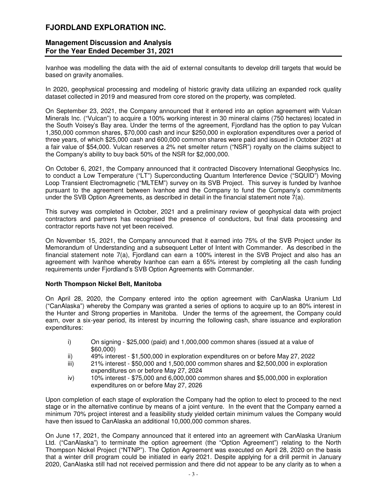### **Management Discussion and Analysis For the Year Ended December 31, 2021**

Ivanhoe was modelling the data with the aid of external consultants to develop drill targets that would be based on gravity anomalies.

In 2020, geophysical processing and modeling of historic gravity data utilizing an expanded rock quality dataset collected in 2019 and measured from core stored on the property, was completed.

On September 23, 2021, the Company announced that it entered into an option agreement with Vulcan Minerals Inc. ("Vulcan") to acquire a 100% working interest in 30 mineral claims (750 hectares) located in the South Voisey's Bay area. Under the terms of the agreement, Fjordland has the option to pay Vulcan 1,350,000 common shares, \$70,000 cash and incur \$250,000 in exploration expenditures over a period of three years, of which \$25,000 cash and 600,000 common shares were paid and issued in October 2021 at a fair value of \$54,000. Vulcan reserves a 2% net smelter return ("NSR") royalty on the claims subject to the Company's ability to buy back 50% of the NSR for \$2,000,000.

On October 6, 2021, the Company announced that it contracted Discovery International Geophysics Inc. to conduct a Low Temperature ("LT") Superconducting Quantum Interference Device ("SQUID") Moving Loop Transient Electromagnetic ("MLTEM") survey on its SVB Project. This survey is funded by Ivanhoe pursuant to the agreement between Ivanhoe and the Company to fund the Company's commitments under the SVB Option Agreements, as described in detail in the financial statement note 7(a).

This survey was completed in October, 2021 and a preliminary review of geophysical data with project contractors and partners has recognised the presence of conductors, but final data processing and contractor reports have not yet been received.

On November 15, 2021, the Company announced that it earned into 75% of the SVB Project under its Memorandum of Understanding and a subsequent Letter of Intent with Commander. As described in the financial statement note 7(a), Fjordland can earn a 100% interest in the SVB Project and also has an agreement with Ivanhoe whereby Ivanhoe can earn a 65% interest by completing all the cash funding requirements under Fjordland's SVB Option Agreements with Commander.

### **North Thompson Nickel Belt, Manitoba**

On April 28, 2020, the Company entered into the option agreement with CanAlaska Uranium Ltd ("CanAlaska") whereby the Company was granted a series of options to acquire up to an 80% interest in the Hunter and Strong properties in Manitoba. Under the terms of the agreement, the Company could earn, over a six-year period, its interest by incurring the following cash, share issuance and exploration expenditures:

- i) On signing \$25,000 (paid) and 1,000,000 common shares (issued at a value of \$60,000)
- ii) 49% interest \$1,500,000 in exploration expenditures on or before May 27, 2022
- iii) 21% interest \$50,000 and 1,500,000 common shares and \$2,500,000 in exploration expenditures on or before May 27, 2024
- iv) 10% interest \$75,000 and 6,000,000 common shares and \$5,000,000 in exploration expenditures on or before May 27, 2026

Upon completion of each stage of exploration the Company had the option to elect to proceed to the next stage or in the alternative continue by means of a joint venture. In the event that the Company earned a minimum 70% project interest and a feasibility study yielded certain minimum values the Company would have then issued to CanAlaska an additional 10,000,000 common shares.

On June 17, 2021, the Company announced that it entered into an agreement with CanAlaska Uranium Ltd. ("CanAlaska") to terminate the option agreement (the "Option Agreement") relating to the North Thompson Nickel Project ("NTNP"). The Option Agreement was executed on April 28, 2020 on the basis that a winter drill program could be initiated in early 2021. Despite applying for a drill permit in January 2020, CanAlaska still had not received permission and there did not appear to be any clarity as to when a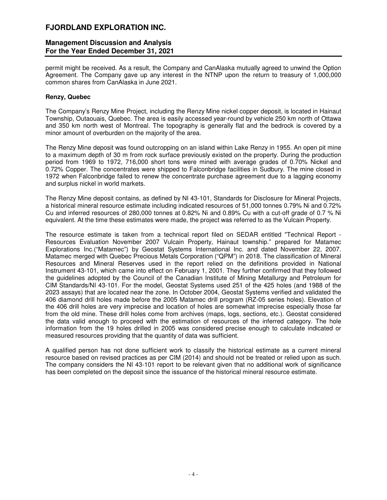### **Management Discussion and Analysis For the Year Ended December 31, 2021**

permit might be received. As a result, the Company and CanAlaska mutually agreed to unwind the Option Agreement. The Company gave up any interest in the NTNP upon the return to treasury of 1,000,000 common shares from CanAlaska in June 2021.

### **Renzy, Quebec**

The Company's Renzy Mine Project, including the Renzy Mine nickel copper deposit, is located in Hainaut Township, Outaouais, Quebec. The area is easily accessed year-round by vehicle 250 km north of Ottawa and 350 km north west of Montreal. The topography is generally flat and the bedrock is covered by a minor amount of overburden on the majority of the area.

The Renzy Mine deposit was found outcropping on an island within Lake Renzy in 1955. An open pit mine to a maximum depth of 30 m from rock surface previously existed on the property. During the production period from 1969 to 1972, 716,000 short tons were mined with average grades of 0.70% Nickel and 0.72% Copper. The concentrates were shipped to Falconbridge facilities in Sudbury. The mine closed in 1972 when Falconbridge failed to renew the concentrate purchase agreement due to a lagging economy and surplus nickel in world markets.

The Renzy Mine deposit contains, as defined by NI 43-101, Standards for Disclosure for Mineral Projects, a historical mineral resource estimate including indicated resources of 51,000 tonnes 0.79% Ni and 0.72% Cu and inferred resources of 280,000 tonnes at 0.82% Ni and 0.89% Cu with a cut-off grade of 0.7 % Ni equivalent. At the time these estimates were made, the project was referred to as the Vulcain Property.

The resource estimate is taken from a technical report filed on SEDAR entitled "Technical Report - Resources Evaluation November 2007 Vulcain Property, Hainaut township." prepared for Matamec Explorations Inc.("Matamec") by Geostat Systems International Inc. and dated November 22, 2007. Matamec merged with Quebec Precious Metals Corporation ("QPM") in 2018. The classification of Mineral Resources and Mineral Reserves used in the report relied on the definitions provided in National Instrument 43-101, which came into effect on February 1, 2001. They further confirmed that they followed the guidelines adopted by the Council of the Canadian Institute of Mining Metallurgy and Petroleum for CIM Standards/NI 43-101. For the model, Geostat Systems used 251 of the 425 holes (and 1988 of the 2023 assays) that are located near the zone. In October 2004, Geostat Systems verified and validated the 406 diamond drill holes made before the 2005 Matamec drill program (RZ-05 series holes). Elevation of the 406 drill holes are very imprecise and location of holes are somewhat imprecise especially those far from the old mine. These drill holes come from archives (maps, logs, sections, etc.). Geostat considered the data valid enough to proceed with the estimation of resources of the inferred category. The hole information from the 19 holes drilled in 2005 was considered precise enough to calculate indicated or measured resources providing that the quantity of data was sufficient.

A qualified person has not done sufficient work to classify the historical estimate as a current mineral resource based on revised practices as per CIM (2014) and should not be treated or relied upon as such. The company considers the NI 43-101 report to be relevant given that no additional work of significance has been completed on the deposit since the issuance of the historical mineral resource estimate.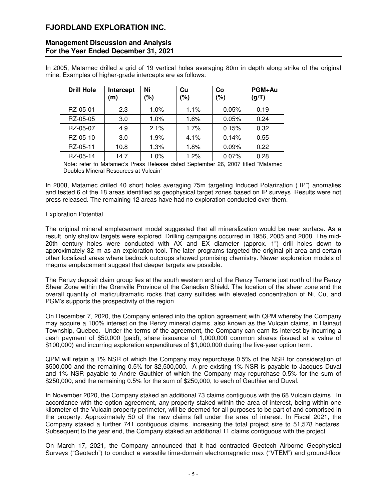### **Management Discussion and Analysis For the Year Ended December 31, 2021**

In 2005, Matamec drilled a grid of 19 vertical holes averaging 80m in depth along strike of the original mine. Examples of higher-grade intercepts are as follows:

| <b>Drill Hole</b> | Intercept<br>(m) | Ni<br>(%) | Cu<br>(%) | Co<br>(%) | PGM+Au<br>(g/T) |
|-------------------|------------------|-----------|-----------|-----------|-----------------|
| RZ-05-01          | 2.3              | 1.0%      | 1.1%      | 0.05%     | 0.19            |
| RZ-05-05          | 3.0              | 1.0%      | 1.6%      | 0.05%     | 0.24            |
| RZ-05-07          | 4.9              | 2.1%      | 1.7%      | 0.15%     | 0.32            |
| RZ-05-10          | 3.0              | 1.9%      | 4.1%      | 0.14%     | 0.55            |
| RZ-05-11          | 10.8             | 1.3%      | 1.8%      | 0.09%     | 0.22            |
| RZ-05-14          | 14.7             | 1.0%      | 1.2%      | 0.07%     | 0.28            |

Note: refer to Matamec's Press Release dated September 26, 2007 titled "Matamec Doubles Mineral Resources at Vulcain"

In 2008, Matamec drilled 40 short holes averaging 75m targeting Induced Polarization ("IP") anomalies and tested 6 of the 18 areas identified as geophysical target zones based on IP surveys. Results were not press released. The remaining 12 areas have had no exploration conducted over them.

### Exploration Potential

The original mineral emplacement model suggested that all mineralization would be near surface. As a result, only shallow targets were explored. Drilling campaigns occurred in 1956, 2005 and 2008. The mid-20th century holes were conducted with AX and EX diameter (approx. 1") drill holes down to approximately 32 m as an exploration tool. The later programs targeted the original pit area and certain other localized areas where bedrock outcrops showed promising chemistry. Newer exploration models of magma emplacement suggest that deeper targets are possible.

The Renzy deposit claim group lies at the south western end of the Renzy Terrane just north of the Renzy Shear Zone within the Grenville Province of the Canadian Shield. The location of the shear zone and the overall quantity of mafic/ultramafic rocks that carry sulfides with elevated concentration of Ni, Cu, and PGM's supports the prospectivity of the region.

On December 7, 2020, the Company entered into the option agreement with QPM whereby the Company may acquire a 100% interest on the Renzy mineral claims, also known as the Vulcain claims, in Hainaut Township, Quebec. Under the terms of the agreement, the Company can earn its interest by incurring a cash payment of \$50,000 (paid), share issuance of 1,000,000 common shares (issued at a value of \$100,000) and incurring exploration expenditures of \$1,000,000 during the five-year option term.

QPM will retain a 1% NSR of which the Company may repurchase 0.5% of the NSR for consideration of \$500,000 and the remaining 0.5% for \$2,500,000. A pre-existing 1% NSR is payable to Jacques Duval and 1% NSR payable to Andre Gauthier of which the Company may repurchase 0.5% for the sum of \$250,000; and the remaining 0.5% for the sum of \$250,000, to each of Gauthier and Duval.

In November 2020, the Company staked an additional 73 claims contiguous with the 68 Vulcain claims. In accordance with the option agreement, any property staked within the area of interest, being within one kilometer of the Vulcain property perimeter, will be deemed for all purposes to be part of and comprised in the property. Approximately 50 of the new claims fall under the area of interest. In Fiscal 2021, the Company staked a further 741 contiguous claims, increasing the total project size to 51,578 hectares. Subsequent to the year end, the Company staked an additional 11 claims contiguous with the project.

On March 17, 2021, the Company announced that it had contracted Geotech Airborne Geophysical Surveys ("Geotech") to conduct a versatile time-domain electromagnetic max ("VTEM") and ground-floor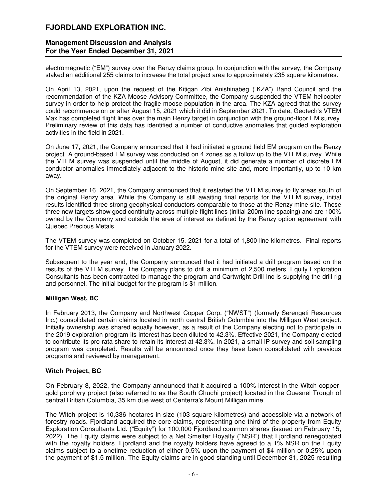### **Management Discussion and Analysis For the Year Ended December 31, 2021**

electromagnetic ("EM") survey over the Renzy claims group. In conjunction with the survey, the Company staked an additional 255 claims to increase the total project area to approximately 235 square kilometres.

On April 13, 2021, upon the request of the Kitigan Zibi Anishinabeg ("KZA") Band Council and the recommendation of the KZA Moose Advisory Committee, the Company suspended the VTEM helicopter survey in order to help protect the fragile moose population in the area. The KZA agreed that the survey could recommence on or after August 15, 2021 which it did in September 2021. To date, Geotech's VTEM Max has completed flight lines over the main Renzy target in conjunction with the ground-floor EM survey. Preliminary review of this data has identified a number of conductive anomalies that guided exploration activities in the field in 2021.

On June 17, 2021, the Company announced that it had initiated a ground field EM program on the Renzy project. A ground-based EM survey was conducted on 4 zones as a follow up to the VTEM survey. While the VTEM survey was suspended until the middle of August, it did generate a number of discrete EM conductor anomalies immediately adjacent to the historic mine site and, more importantly, up to 10 km away.

On September 16, 2021, the Company announced that it restarted the VTEM survey to fly areas south of the original Renzy area. While the Company is still awaiting final reports for the VTEM survey, initial results identified three strong geophysical conductors comparable to those at the Renzy mine site. These three new targets show good continuity across multiple flight lines (initial 200m line spacing) and are 100% owned by the Company and outside the area of interest as defined by the Renzy option agreement with Quebec Precious Metals.

The VTEM survey was completed on October 15, 2021 for a total of 1,800 line kilometres. Final reports for the VTEM survey were received in January 2022.

Subsequent to the year end, the Company announced that it had initiated a drill program based on the results of the VTEM survey. The Company plans to drill a minimum of 2,500 meters. Equity Exploration Consultants has been contracted to manage the program and Cartwright Drill Inc is supplying the drill rig and personnel. The initial budget for the program is \$1 million.

### **Milligan West, BC**

In February 2013, the Company and Northwest Copper Corp. ("NWST") (formerly Serengeti Resources Inc.) consolidated certain claims located in north central British Columbia into the Milligan West project. Initially ownership was shared equally however, as a result of the Company electing not to participate in the 2019 exploration program its interest has been diluted to 42.3%. Effective 2021, the Company elected to contribute its pro-rata share to retain its interest at 42.3%. In 2021, a small IP survey and soil sampling program was completed. Results will be announced once they have been consolidated with previous programs and reviewed by management.

### **Witch Project, BC**

On February 8, 2022, the Company announced that it acquired a 100% interest in the Witch coppergold porphyry project (also referred to as the South Chuchi project) located in the Quesnel Trough of central British Columbia, 35 km due west of Centerra's Mount Milligan mine.

The Witch project is 10,336 hectares in size (103 square kilometres) and accessible via a network of forestry roads. Fjordland acquired the core claims, representing one-third of the property from Equity Exploration Consultants Ltd. ("Equity") for 100,000 Fjordland common shares (issued on February 15, 2022). The Equity claims were subject to a Net Smelter Royalty ("NSR") that Fjordland renegotiated with the royalty holders. Fjordland and the royalty holders have agreed to a 1% NSR on the Equity claims subject to a onetime reduction of either 0.5% upon the payment of \$4 million or 0.25% upon the payment of \$1.5 million. The Equity claims are in good standing until December 31, 2025 resulting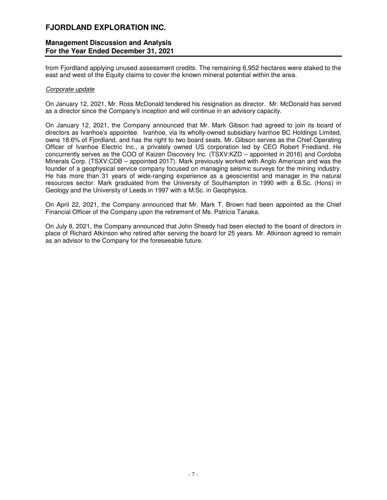### **Management Discussion and Analysis For the Year Ended December 31, 2021**

from Fjordland applying unused assessment credits. The remaining 6,952 hectares were staked to the east and west of the Equity claims to cover the known mineral potential within the area.

### Corporate update

On January 12, 2021, Mr. Ross McDonald tendered his resignation as director. Mr. McDonald has served as a director since the Company's inception and will continue in an advisory capacity.

On January 12, 2021, the Company announced that Mr. Mark Gibson had agreed to join its board of directors as Ivanhoe's appointee. Ivanhoe, via its wholly-owned subsidiary Ivanhoe BC Holdings Limited, owns 18.6% of Fjordland, and has the right to two board seats. Mr. Gibson serves as the Chief Operating Officer of Ivanhoe Electric Inc., a privately owned US corporation led by CEO Robert Friedland. He concurrently serves as the COO of Kaizen Discovery Inc. (TSXV:KZD – appointed in 2016) and Cordoba Minerals Corp. (TSXV:CDB – appointed 2017). Mark previously worked with Anglo American and was the founder of a geophysical service company focused on managing seismic surveys for the mining industry. He has more than 31 years of wide-ranging experience as a geoscientist and manager in the natural resources sector. Mark graduated from the University of Southampton in 1990 with a B.Sc. (Hons) in Geology and the University of Leeds in 1997 with a M.Sc. in Geophysics.

On April 22, 2021, the Company announced that Mr. Mark T. Brown had been appointed as the Chief Financial Officer of the Company upon the retirement of Ms. Patricia Tanaka.

On July 8, 2021, the Company announced that John Sheedy had been elected to the board of directors in place of Richard Atkinson who retired after serving the board for 25 years. Mr. Atkinson agreed to remain as an advisor to the Company for the foreseeable future.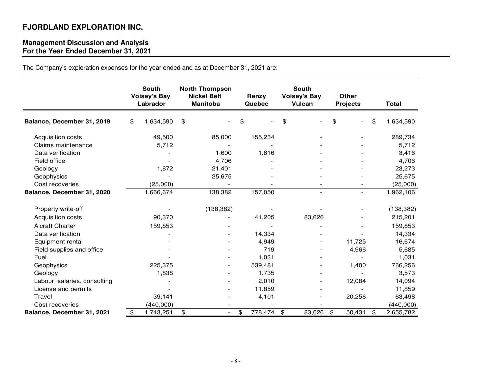### **Management Discussion and Analysis For the Year Ended December 31, 2021**

The Company's exploration expenses for the year ended and as at December 31, 2021 are:

|                              | South<br><b>Voisey's Bay</b><br>Labrador | <b>North Thompson</b><br><b>Nickel Belt</b><br><b>Manitoba</b> | Renzy<br>Quebec |         | <b>South</b><br><b>Voisey's Bay</b><br><b>Vulcan</b> |        | <b>Other</b><br><b>Projects</b> |        |       | <b>Total</b> |  |
|------------------------------|------------------------------------------|----------------------------------------------------------------|-----------------|---------|------------------------------------------------------|--------|---------------------------------|--------|-------|--------------|--|
| Balance, December 31, 2019   | \$<br>1,634,590                          | \$                                                             | \$              |         | \$                                                   |        | \$                              |        | \$    | 1,634,590    |  |
| Acquisition costs            | 49,500                                   | 85,000                                                         |                 | 155,234 |                                                      |        |                                 |        |       | 289,734      |  |
| Claims maintenance           | 5,712                                    |                                                                |                 |         |                                                      |        |                                 |        |       | 5,712        |  |
| Data verification            |                                          | 1,600                                                          |                 | 1,816   |                                                      |        |                                 |        |       | 3,416        |  |
| Field office                 |                                          | 4,706                                                          |                 |         |                                                      |        |                                 |        |       | 4,706        |  |
| Geology                      | 1,872                                    | 21,401                                                         |                 |         |                                                      |        |                                 |        |       | 23,273       |  |
| Geophysics                   |                                          | 25,675                                                         |                 |         |                                                      |        |                                 |        |       | 25,675       |  |
| Cost recoveries              | (25,000)                                 |                                                                |                 |         |                                                      |        |                                 |        |       | (25,000)     |  |
| Balance, December 31, 2020   | 1,666,674                                | 138,382                                                        |                 | 157,050 |                                                      |        |                                 |        |       | 1,962,106    |  |
| Property write-off           |                                          | (138, 382)                                                     |                 |         |                                                      |        |                                 |        |       | (138, 382)   |  |
| Acquisition costs            | 90,370                                   |                                                                |                 | 41,205  |                                                      | 83,626 |                                 |        |       | 215,201      |  |
| <b>Aicraft Charter</b>       | 159,853                                  |                                                                |                 |         |                                                      |        |                                 |        |       | 159,853      |  |
| Data verification            |                                          |                                                                |                 | 14,334  |                                                      |        |                                 |        |       | 14,334       |  |
| Equipment rental             |                                          |                                                                |                 | 4,949   |                                                      |        |                                 | 11,725 |       | 16,674       |  |
| Field supplies and office    |                                          |                                                                |                 | 719     |                                                      |        |                                 | 4,966  |       | 5,685        |  |
| Fuel                         |                                          |                                                                |                 | 1,031   |                                                      |        |                                 |        |       | 1,031        |  |
| Geophysics                   | 225,375                                  |                                                                |                 | 539,481 |                                                      |        |                                 | 1,400  |       | 766,256      |  |
| Geology                      | 1,838                                    |                                                                |                 | 1,735   |                                                      |        |                                 |        |       | 3,573        |  |
| Labour, salaries, consulting |                                          |                                                                |                 | 2,010   |                                                      |        |                                 | 12,084 |       | 14,094       |  |
| License and permits          |                                          |                                                                |                 | 11,859  |                                                      |        |                                 |        |       | 11,859       |  |
| Travel                       | 39,141                                   |                                                                |                 | 4,101   |                                                      |        |                                 | 20,256 |       | 63,498       |  |
| Cost recoveries              | (440,000)                                |                                                                |                 |         |                                                      |        |                                 |        |       | (440,000)    |  |
| Balance, December 31, 2021   | \$<br>1,743,251                          | \$<br>$\blacksquare$                                           | \$              | 778,474 | \$                                                   | 83,626 | \$                              | 50,431 | $\$\$ | 2,655,782    |  |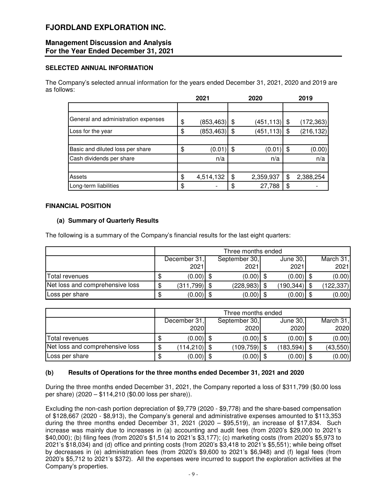### **Management Discussion and Analysis For the Year Ended December 31, 2021**

### **SELECTED ANNUAL INFORMATION**

The Company's selected annual information for the years ended December 31, 2021, 2020 and 2019 are as follows:

|                                     | 2021                           |    | 2020            | 2019            |
|-------------------------------------|--------------------------------|----|-----------------|-----------------|
|                                     |                                |    |                 |                 |
| General and administration expenses | \$<br>(853,463)   \$           |    | $(451, 113)$ \$ | (172, 363)      |
| Loss for the year                   | \$<br>$(853, 463)$ \$          |    | (451, 113)      | (216, 132)      |
|                                     |                                |    |                 |                 |
| Basic and diluted loss per share    | \$<br>(0.01)                   | S  | (0.01)          | (0.00)          |
| Cash dividends per share            | n/a                            |    | n/a             | n/a             |
|                                     |                                |    |                 |                 |
| Assets                              | \$<br>4,514,132                | \$ | 2,359,937       | \$<br>2,388,254 |
| Long-term liabilities               | \$<br>$\overline{\phantom{a}}$ | S  | 27,788          |                 |

### **FINANCIAL POSITION**

### **(a) Summary of Quarterly Results**

The following is a summary of the Company's financial results for the last eight quarters:

|                                 | Three months ended |                                                          |  |                |  |                 |  |            |  |  |  |  |
|---------------------------------|--------------------|----------------------------------------------------------|--|----------------|--|-----------------|--|------------|--|--|--|--|
|                                 |                    | June $30,$<br>March 31,<br>September 30,<br>December 31, |  |                |  |                 |  |            |  |  |  |  |
|                                 |                    | 2021                                                     |  | 2021           |  | 2021            |  | 2021       |  |  |  |  |
| Total revenues                  |                    | $(0.00)$ \$                                              |  | $(0.00)$ \$    |  | $(0.00)$ \$     |  | (0.00)     |  |  |  |  |
| Net loss and comprehensive loss |                    | $(311,799)$ \$                                           |  | $(228,983)$ \$ |  | $(190, 344)$ \$ |  | (122, 337) |  |  |  |  |
| Loss per share                  |                    | $(0.00)$ \$                                              |  | $(0.00)$ \$    |  | $(0.00)$ \$     |  | (0.00)     |  |  |  |  |

|                                 | Three months ended |                                                          |  |                 |  |                 |  |          |  |  |  |  |
|---------------------------------|--------------------|----------------------------------------------------------|--|-----------------|--|-----------------|--|----------|--|--|--|--|
|                                 |                    | September 30,<br>December 31,<br>June $30,$<br>March 31, |  |                 |  |                 |  |          |  |  |  |  |
|                                 |                    | 2020                                                     |  | 2020            |  | 2020            |  | 2020     |  |  |  |  |
| Total revenues                  |                    | $(0.00)$ \$                                              |  | $(0.00)$ \$     |  | $(0.00)$ \$     |  | (0.00)   |  |  |  |  |
| Net loss and comprehensive loss | \$                 | $(114,210)$ \$                                           |  | $(109, 759)$ \$ |  | $(183, 594)$ \$ |  | (43,550) |  |  |  |  |
| Loss per share                  | ъ                  | $(0.00)$ \$                                              |  | $(0.00)$ \$     |  | $(0.00)$ \$     |  | (0.00)   |  |  |  |  |

### **(b) Results of Operations for the three months ended December 31, 2021 and 2020**

During the three months ended December 31, 2021, the Company reported a loss of \$311,799 (\$0.00 loss per share) (2020 – \$114,210 (\$0.00 loss per share)).

Excluding the non-cash portion depreciation of \$9,779 (2020 - \$9,778) and the share-based compensation of \$128,667 (2020 - \$8,913), the Company's general and administrative expenses amounted to \$113,353 during the three months ended December 31, 2021 (2020 – \$95,519), an increase of \$17,834. Such increase was mainly due to increases in (a) accounting and audit fees (from 2020's \$29,000 to 2021's \$40,000); (b) filing fees (from 2020's \$1,514 to 2021's \$3,177); (c) marketing costs (from 2020's \$5,973 to 2021's \$18,034) and (d) office and printing costs (from 2020's \$3,418 to 2021's \$5,551); while being offset by decreases in (e) administration fees (from 2020's \$9,600 to 2021's \$6,948) and (f) legal fees (from 2020's \$5,712 to 2021's \$372). All the expenses were incurred to support the exploration activities at the Company's properties.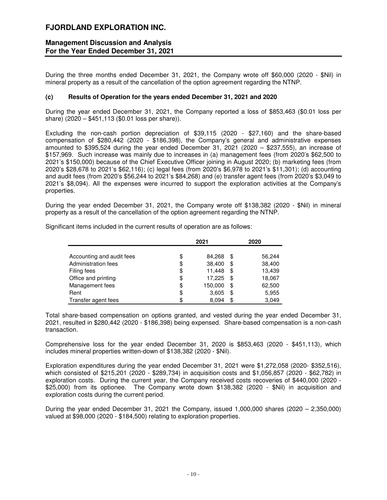### **Management Discussion and Analysis For the Year Ended December 31, 2021**

During the three months ended December 31, 2021, the Company wrote off \$60,000 (2020 - \$Nil) in mineral property as a result of the cancellation of the option agreement regarding the NTNP.

### **(c) Results of Operation for the years ended December 31, 2021 and 2020**

During the year ended December 31, 2021, the Company reported a loss of \$853,463 (\$0.01 loss per share) (2020 – \$451,113 (\$0.01 loss per share)).

Excluding the non-cash portion depreciation of \$39,115 (2020 - \$27,160) and the share-based compensation of \$280,442 (2020 - \$186,398), the Company's general and administrative expenses amounted to \$395,524 during the year ended December 31, 2021 (2020 – \$237,555), an increase of \$157,969. Such increase was mainly due to increases in (a) management fees (from 2020's \$62,500 to 2021's \$150,000) because of the Chief Executive Officer joining in August 2020; (b) marketing fees (from 2020's \$28,678 to 2021's \$62,116); (c) legal fees (from 2020's \$6,978 to 2021's \$11,301); (d) accounting and audit fees (from 2020's \$56,244 to 2021's \$84,268) and (e) transfer agent fees (from 2020's \$3,049 to 2021's \$8,094). All the expenses were incurred to support the exploration activities at the Company's properties.

During the year ended December 31, 2021, the Company wrote off \$138,382 (2020 - \$Nil) in mineral property as a result of the cancellation of the option agreement regarding the NTNP.

|                           | 2021 |         |    | 2020   |
|---------------------------|------|---------|----|--------|
|                           |      |         |    |        |
| Accounting and audit fees | \$   | 84.268  | \$ | 56,244 |
| Administration fees       | \$   | 38,400  | \$ | 38,400 |
| Filing fees               | \$   | 11,448  | \$ | 13,439 |
| Office and printing       | \$   | 17.225  | \$ | 18,067 |
| Management fees           | \$   | 150,000 | S  | 62,500 |
| Rent                      | \$   | 3,605   | \$ | 5,955  |
| Transfer agent fees       | S    | 8.094   | \$ | 3,049  |

Significant items included in the current results of operation are as follows:

Total share-based compensation on options granted, and vested during the year ended December 31, 2021, resulted in \$280,442 (2020 - \$186,398) being expensed. Share-based compensation is a non-cash transaction.

Comprehensive loss for the year ended December 31, 2020 is \$853,463 (2020 - \$451,113), which includes mineral properties written-down of \$138,382 (2020 - \$Nil).

Exploration expenditures during the year ended December 31, 2021 were \$1,272,058 (2020- \$352,516), which consisted of \$215,201 (2020 - \$289,734) in acquisition costs and \$1,056,857 (2020 - \$62,782) in exploration costs. During the current year, the Company received costs recoveries of \$440,000 (2020 - \$25,000) from its optionee. The Company wrote down \$138,382 (2020 - \$Nil) in acquisition and exploration costs during the current period.

During the year ended December 31, 2021 the Company, issued 1,000,000 shares (2020 – 2,350,000) valued at \$98,000 (2020 - \$184,500) relating to exploration properties.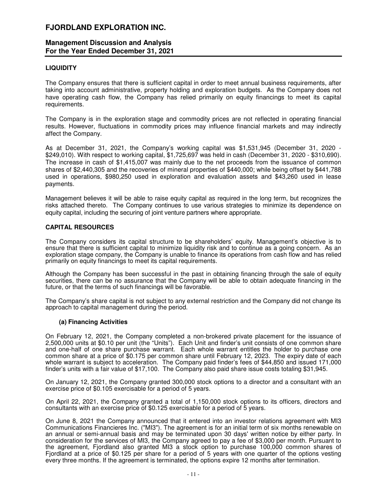### **Management Discussion and Analysis For the Year Ended December 31, 2021**

### **LIQUIDITY**

The Company ensures that there is sufficient capital in order to meet annual business requirements, after taking into account administrative, property holding and exploration budgets. As the Company does not have operating cash flow, the Company has relied primarily on equity financings to meet its capital requirements.

The Company is in the exploration stage and commodity prices are not reflected in operating financial results. However, fluctuations in commodity prices may influence financial markets and may indirectly affect the Company.

As at December 31, 2021, the Company's working capital was \$1,531,945 (December 31, 2020 - \$249,010). With respect to working capital, \$1,725,697 was held in cash (December 31, 2020 - \$310,690). The increase in cash of \$1,415,007 was mainly due to the net proceeds from the issuance of common shares of \$2,440,305 and the recoveries of mineral properties of \$440,000; while being offset by \$441,788 used in operations, \$980,250 used in exploration and evaluation assets and \$43,260 used in lease payments.

Management believes it will be able to raise equity capital as required in the long term, but recognizes the risks attached thereto. The Company continues to use various strategies to minimize its dependence on equity capital, including the securing of joint venture partners where appropriate.

### **CAPITAL RESOURCES**

The Company considers its capital structure to be shareholders' equity. Management's objective is to ensure that there is sufficient capital to minimize liquidity risk and to continue as a going concern. As an exploration stage company, the Company is unable to finance its operations from cash flow and has relied primarily on equity financings to meet its capital requirements.

Although the Company has been successful in the past in obtaining financing through the sale of equity securities, there can be no assurance that the Company will be able to obtain adequate financing in the future, or that the terms of such financings will be favorable.

The Company's share capital is not subject to any external restriction and the Company did not change its approach to capital management during the period.

### **(a) Financing Activities**

On February 12, 2021, the Company completed a non-brokered private placement for the issuance of 2,500,000 units at \$0.10 per unit (the "Units"). Each Unit and finder's unit consists of one common share and one-half of one share purchase warrant. Each whole warrant entitles the holder to purchase one common share at a price of \$0.175 per common share until February 12, 2023. The expiry date of each whole warrant is subject to acceleration. The Company paid finder's fees of \$44,850 and issued 171,000 finder's units with a fair value of \$17,100. The Company also paid share issue costs totaling \$31,945.

On January 12, 2021, the Company granted 300,000 stock options to a director and a consultant with an exercise price of \$0.105 exercisable for a period of 5 years.

On April 22, 2021, the Company granted a total of 1,150,000 stock options to its officers, directors and consultants with an exercise price of \$0.125 exercisable for a period of 5 years.

On June 8, 2021 the Company announced that it entered into an investor relations agreement with MI3 Communications Financieres Inc. ("MI3"). The agreement is for an initial term of six months renewable on an annual or semi-annual basis and may be terminated upon 30 days' written notice by either party. In consideration for the services of MI3, the Company agreed to pay a fee of \$3,000 per month. Pursuant to the agreement, Fjordland also granted MI3 a stock option to purchase 100,000 common shares of Fjordland at a price of \$0.125 per share for a period of 5 years with one quarter of the options vesting every three months. If the agreement is terminated, the options expire 12 months after termination.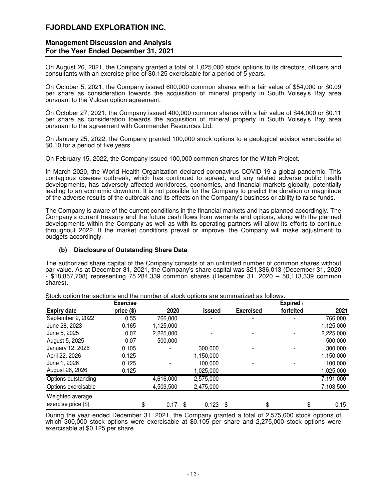### **Management Discussion and Analysis For the Year Ended December 31, 2021**

On August 26, 2021, the Company granted a total of 1,025,000 stock options to its directors, officers and consultants with an exercise price of \$0.125 exercisable for a period of 5 years.

On October 5, 2021, the Company issued 600,000 common shares with a fair value of \$54,000 or \$0.09 per share as consideration towards the acquisition of mineral property in South Voisey's Bay area pursuant to the Vulcan option agreement.

On October 27, 2021, the Company issued 400,000 common shares with a fair value of \$44,000 or \$0.11 per share as consideration towards the acquisition of mineral property in South Voisey's Bay area pursuant to the agreement with Commander Resources Ltd.

On January 25, 2022, the Company granted 100,000 stock options to a geological advisor exercisable at \$0.10 for a period of five years.

On February 15, 2022, the Company issued 100,000 common shares for the Witch Project.

In March 2020, the World Health Organization declared coronavirus COVID-19 a global pandemic. This contagious disease outbreak, which has continued to spread, and any related adverse public health developments, has adversely affected workforces, economies, and financial markets globally, potentially leading to an economic downturn. It is not possible for the Company to predict the duration or magnitude of the adverse results of the outbreak and its effects on the Company's business or ability to raise funds.

The Company is aware of the current conditions in the financial markets and has planned accordingly. The Company's current treasury and the future cash flows from warrants and options, along with the planned developments within the Company as well as with its operating partners will allow its efforts to continue throughout 2022. If the market conditions prevail or improve, the Company will make adjustment to budgets accordingly.

### **(b) Disclosure of Outstanding Share Data**

The authorized share capital of the Company consists of an unlimited number of common shares without par value. As at December 31, 2021, the Company's share capital was \$21,336,013 (December 31, 2020 - \$18,857,708) representing 75,284,339 common shares (December 31, 2020 – 50,113,339 common shares).

|                       | <b>Exercise</b> |            |     |               |                  | Expired / |           |
|-----------------------|-----------------|------------|-----|---------------|------------------|-----------|-----------|
| <b>Expiry date</b>    | price (\$)      | 2020       |     | <b>Issued</b> | <b>Exercised</b> | forfeited | 2021      |
| September 2, 2022     | 0.55            | 766,000    |     |               |                  |           | 766,000   |
| June 28, 2023         | 0.165           | 1,125,000  |     |               |                  |           | 1,125,000 |
| June 5, 2025          | 0.07            | 2,225,000  |     |               |                  |           | 2,225,000 |
| August 5, 2025        | 0.07            | 500,000    |     |               |                  |           | 500,000   |
| January 12, 2026      | 0.105           |            |     | 300,000       |                  |           | 300,000   |
| April 22, 2026        | 0.125           |            |     | 1,150,000     |                  |           | 1,150,000 |
| June 1, 2026          | 0.125           |            |     | 100,000       |                  |           | 100,000   |
| August 26, 2026       | 0.125           |            |     | 1,025,000     |                  |           | 1,025,000 |
| Options outstanding   |                 | 4,616,000  |     | 2,575,000     |                  |           | 7,191,000 |
| Options exercisable   |                 | 4,503,500  |     | 2,475,000     |                  |           | 7,103,500 |
| Weighted average      |                 |            |     |               |                  |           |           |
| exercise price $(\$)$ |                 | \$<br>0.17 | -\$ | 0.123         | \$               | \$        | 0.15      |

Stock option transactions and the number of stock options are summarized as follows:

During the year ended December 31, 2021, the Company granted a total of 2,575,000 stock options of which 300,000 stock options were exercisable at \$0.105 per share and 2,275,000 stock options were exercisable at \$0.125 per share.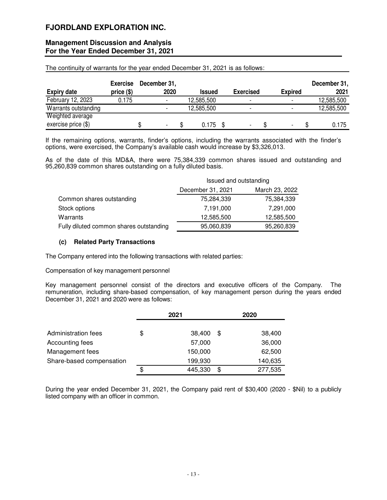### **Management Discussion and Analysis For the Year Ended December 31, 2021**

The continuity of warrants for the year ended December 31, 2021 is as follows:

|                       | <b>Exercise</b> | December 31, |               |                          |                          | December 31, |
|-----------------------|-----------------|--------------|---------------|--------------------------|--------------------------|--------------|
| <b>Expiry date</b>    | $price($)$      | 2020         | <b>Issued</b> | <b>Exercised</b>         | <b>Expired</b>           | 2021         |
| February 12, 2023     | 0.175           |              | 12,585,500    | $\overline{\phantom{0}}$ | $\overline{\phantom{a}}$ | 12,585,500   |
| Warrants outstanding  |                 |              | 12,585,500    | $\overline{\phantom{a}}$ |                          | 12,585,500   |
| Weighted average      |                 |              |               |                          |                          |              |
| exercise price $(\$)$ |                 |              | 0.175         | $\overline{\phantom{a}}$ | $\overline{\phantom{a}}$ | 0.175        |

If the remaining options, warrants, finder's options, including the warrants associated with the finder's options, were exercised, the Company's available cash would increase by \$3,326,013.

As of the date of this MD&A, there were 75,384,339 common shares issued and outstanding and 95,260,839 common shares outstanding on a fully diluted basis.

|                                         | Issued and outstanding |                |  |  |  |  |
|-----------------------------------------|------------------------|----------------|--|--|--|--|
|                                         | December 31, 2021      | March 23, 2022 |  |  |  |  |
| Common shares outstanding               | 75,284,339             | 75,384,339     |  |  |  |  |
| Stock options                           | 7,191,000              | 7,291,000      |  |  |  |  |
| Warrants                                | 12,585,500             | 12,585,500     |  |  |  |  |
| Fully diluted common shares outstanding | 95,060,839             | 95,260,839     |  |  |  |  |

### **(c) Related Party Transactions**

The Company entered into the following transactions with related parties:

### Compensation of key management personnel

Key management personnel consist of the directors and executive officers of the Company. The remuneration, including share-based compensation, of key management person during the years ended December 31, 2021 and 2020 were as follows:

|                          | 2021          | 2020 |         |  |  |
|--------------------------|---------------|------|---------|--|--|
|                          |               |      |         |  |  |
| Administration fees      | \$<br>38,400  | \$   | 38,400  |  |  |
| Accounting fees          | 57,000        |      | 36,000  |  |  |
| Management fees          | 150,000       |      | 62,500  |  |  |
| Share-based compensation | 199,930       |      | 140,635 |  |  |
|                          | \$<br>445,330 | S    | 277,535 |  |  |

During the year ended December 31, 2021, the Company paid rent of \$30,400 (2020 - \$Nil) to a publicly listed company with an officer in common.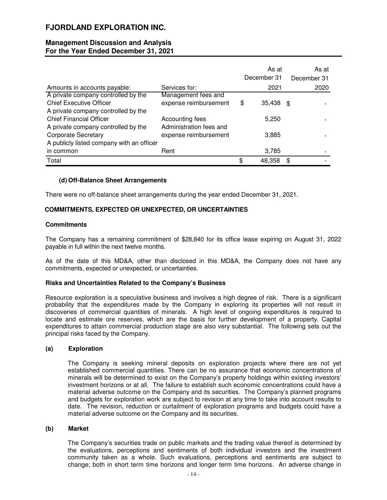### **Management Discussion and Analysis For the Year Ended December 31, 2021**

|                                           |                         | As at        |      | As at       |
|-------------------------------------------|-------------------------|--------------|------|-------------|
|                                           |                         | December 31  |      | December 31 |
| Amounts in accounts payable:              | Services for:           | 2021         |      | 2020        |
| A private company controlled by the       | Management fees and     |              |      |             |
| <b>Chief Executive Officer</b>            | expense reimbursement   | \$<br>35,438 | - \$ |             |
| A private company controlled by the       |                         |              |      |             |
| <b>Chief Financial Officer</b>            | Accounting fees         | 5.250        |      |             |
| A private company controlled by the       | Administration fees and |              |      |             |
| <b>Corporate Secretary</b>                | expense reimbursement   | 3,885        |      |             |
| A publicly listed company with an officer |                         |              |      |             |
| in common                                 | Rent                    | 3,785        |      |             |
| Total                                     |                         | \$<br>48,358 | \$   |             |

### **(d) Off-Balance Sheet Arrangements**

There were no off-balance sheet arrangements during the year ended December 31, 2021.

### **COMMITMENTS, EXPECTED OR UNEXPECTED, OR UNCERTAINTIES**

### **Commitments**

The Company has a remaining commitment of \$28,840 for its office lease expiring on August 31, 2022 payable in full within the next twelve months.

As of the date of this MD&A, other than disclosed in this MD&A, the Company does not have any commitments, expected or unexpected, or uncertainties.

### **Risks and Uncertainties Related to the Company's Business**

Resource exploration is a speculative business and involves a high degree of risk. There is a significant probability that the expenditures made by the Company in exploring its properties will not result in discoveries of commercial quantities of minerals. A high level of ongoing expenditures is required to locate and estimate ore reserves, which are the basis for further development of a property. Capital expenditures to attain commercial production stage are also very substantial. The following sets out the principal risks faced by the Company.

### **(a) Exploration**

The Company is seeking mineral deposits on exploration projects where there are not yet established commercial quantities. There can be no assurance that economic concentrations of minerals will be determined to exist on the Company's property holdings within existing investors' investment horizons or at all. The failure to establish such economic concentrations could have a material adverse outcome on the Company and its securities. The Company's planned programs and budgets for exploration work are subject to revision at any time to take into account results to date. The revision, reduction or curtailment of exploration programs and budgets could have a material adverse outcome on the Company and its securities.

### **(b) Market**

The Company's securities trade on public markets and the trading value thereof is determined by the evaluations, perceptions and sentiments of both individual investors and the investment community taken as a whole. Such evaluations, perceptions and sentiments are subject to change; both in short term time horizons and longer term time horizons. An adverse change in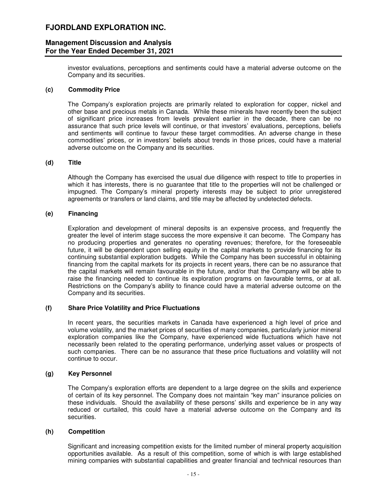### **Management Discussion and Analysis For the Year Ended December 31, 2021**

investor evaluations, perceptions and sentiments could have a material adverse outcome on the Company and its securities.

### **(c) Commodity Price**

The Company's exploration projects are primarily related to exploration for copper, nickel and other base and precious metals in Canada. While these minerals have recently been the subject of significant price increases from levels prevalent earlier in the decade, there can be no assurance that such price levels will continue, or that investors' evaluations, perceptions, beliefs and sentiments will continue to favour these target commodities. An adverse change in these commodities' prices, or in investors' beliefs about trends in those prices, could have a material adverse outcome on the Company and its securities.

### **(d) Title**

Although the Company has exercised the usual due diligence with respect to title to properties in which it has interests, there is no guarantee that title to the properties will not be challenged or impugned. The Company's mineral property interests may be subject to prior unregistered agreements or transfers or land claims, and title may be affected by undetected defects.

### **(e) Financing**

Exploration and development of mineral deposits is an expensive process, and frequently the greater the level of interim stage success the more expensive it can become. The Company has no producing properties and generates no operating revenues; therefore, for the foreseeable future, it will be dependent upon selling equity in the capital markets to provide financing for its continuing substantial exploration budgets. While the Company has been successful in obtaining financing from the capital markets for its projects in recent years, there can be no assurance that the capital markets will remain favourable in the future, and/or that the Company will be able to raise the financing needed to continue its exploration programs on favourable terms, or at all. Restrictions on the Company's ability to finance could have a material adverse outcome on the Company and its securities.

### **(f) Share Price Volatility and Price Fluctuations**

In recent years, the securities markets in Canada have experienced a high level of price and volume volatility, and the market prices of securities of many companies, particularly junior mineral exploration companies like the Company, have experienced wide fluctuations which have not necessarily been related to the operating performance, underlying asset values or prospects of such companies. There can be no assurance that these price fluctuations and volatility will not continue to occur.

### **(g) Key Personnel**

The Company's exploration efforts are dependent to a large degree on the skills and experience of certain of its key personnel. The Company does not maintain "key man" insurance policies on these individuals. Should the availability of these persons' skills and experience be in any way reduced or curtailed, this could have a material adverse outcome on the Company and its securities.

### **(h) Competition**

Significant and increasing competition exists for the limited number of mineral property acquisition opportunities available. As a result of this competition, some of which is with large established mining companies with substantial capabilities and greater financial and technical resources than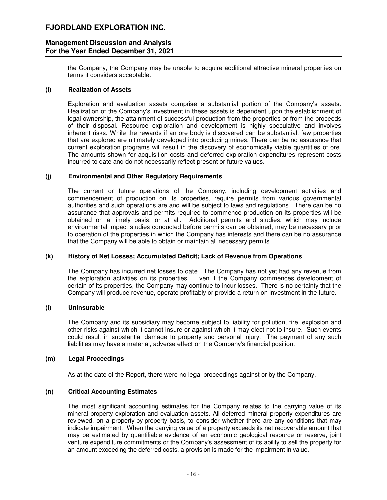### **Management Discussion and Analysis For the Year Ended December 31, 2021**

the Company, the Company may be unable to acquire additional attractive mineral properties on terms it considers acceptable.

### **(i) Realization of Assets**

Exploration and evaluation assets comprise a substantial portion of the Company's assets. Realization of the Company's investment in these assets is dependent upon the establishment of legal ownership, the attainment of successful production from the properties or from the proceeds of their disposal. Resource exploration and development is highly speculative and involves inherent risks. While the rewards if an ore body is discovered can be substantial, few properties that are explored are ultimately developed into producing mines. There can be no assurance that current exploration programs will result in the discovery of economically viable quantities of ore. The amounts shown for acquisition costs and deferred exploration expenditures represent costs incurred to date and do not necessarily reflect present or future values.

### **(j) Environmental and Other Regulatory Requirements**

The current or future operations of the Company, including development activities and commencement of production on its properties, require permits from various governmental authorities and such operations are and will be subject to laws and regulations. There can be no assurance that approvals and permits required to commence production on its properties will be obtained on a timely basis, or at all. Additional permits and studies, which may include environmental impact studies conducted before permits can be obtained, may be necessary prior to operation of the properties in which the Company has interests and there can be no assurance that the Company will be able to obtain or maintain all necessary permits.

### **(k) History of Net Losses; Accumulated Deficit; Lack of Revenue from Operations**

The Company has incurred net losses to date. The Company has not yet had any revenue from the exploration activities on its properties. Even if the Company commences development of certain of its properties, the Company may continue to incur losses. There is no certainty that the Company will produce revenue, operate profitably or provide a return on investment in the future.

### **(l) Uninsurable**

The Company and its subsidiary may become subject to liability for pollution, fire, explosion and other risks against which it cannot insure or against which it may elect not to insure. Such events could result in substantial damage to property and personal injury. The payment of any such liabilities may have a material, adverse effect on the Company's financial position.

### **(m) Legal Proceedings**

As at the date of the Report, there were no legal proceedings against or by the Company.

### **(n) Critical Accounting Estimates**

The most significant accounting estimates for the Company relates to the carrying value of its mineral property exploration and evaluation assets. All deferred mineral property expenditures are reviewed, on a property-by-property basis, to consider whether there are any conditions that may indicate impairment. When the carrying value of a property exceeds its net recoverable amount that may be estimated by quantifiable evidence of an economic geological resource or reserve, joint venture expenditure commitments or the Company's assessment of its ability to sell the property for an amount exceeding the deferred costs, a provision is made for the impairment in value.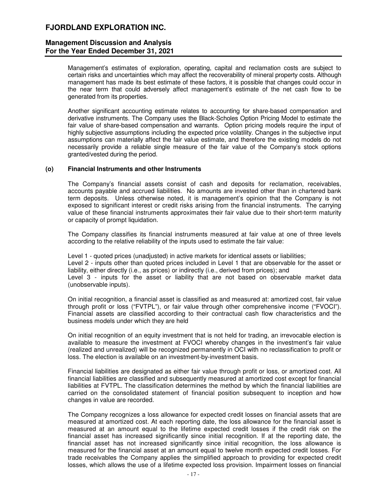### **Management Discussion and Analysis For the Year Ended December 31, 2021**

Management's estimates of exploration, operating, capital and reclamation costs are subject to certain risks and uncertainties which may affect the recoverability of mineral property costs. Although management has made its best estimate of these factors, it is possible that changes could occur in the near term that could adversely affect management's estimate of the net cash flow to be generated from its properties.

Another significant accounting estimate relates to accounting for share-based compensation and derivative instruments. The Company uses the Black-Scholes Option Pricing Model to estimate the fair value of share-based compensation and warrants. Option pricing models require the input of highly subjective assumptions including the expected price volatility. Changes in the subjective input assumptions can materially affect the fair value estimate, and therefore the existing models do not necessarily provide a reliable single measure of the fair value of the Company's stock options granted/vested during the period.

### **(o) Financial Instruments and other Instruments**

The Company's financial assets consist of cash and deposits for reclamation, receivables, accounts payable and accrued liabilities. No amounts are invested other than in chartered bank term deposits. Unless otherwise noted, it is management's opinion that the Company is not exposed to significant interest or credit risks arising from the financial instruments. The carrying value of these financial instruments approximates their fair value due to their short-term maturity or capacity of prompt liquidation.

The Company classifies its financial instruments measured at fair value at one of three levels according to the relative reliability of the inputs used to estimate the fair value:

Level 1 - quoted prices (unadjusted) in active markets for identical assets or liabilities; Level 2 - inputs other than quoted prices included in Level 1 that are observable for the asset or liability, either directly (i.e., as prices) or indirectly (i.e., derived from prices); and Level 3 - inputs for the asset or liability that are not based on observable market data (unobservable inputs).

On initial recognition, a financial asset is classified as and measured at: amortized cost, fair value through profit or loss ("FVTPL"), or fair value through other comprehensive income ("FVOCI"). Financial assets are classified according to their contractual cash flow characteristics and the business models under which they are held

On initial recognition of an equity investment that is not held for trading, an irrevocable election is available to measure the investment at FVOCI whereby changes in the investment's fair value (realized and unrealized) will be recognized permanently in OCI with no reclassification to profit or loss. The election is available on an investment-by-investment basis.

Financial liabilities are designated as either fair value through profit or loss, or amortized cost. All financial liabilities are classified and subsequently measured at amortized cost except for financial liabilities at FVTPL. The classification determines the method by which the financial liabilities are carried on the consolidated statement of financial position subsequent to inception and how changes in value are recorded.

The Company recognizes a loss allowance for expected credit losses on financial assets that are measured at amortized cost. At each reporting date, the loss allowance for the financial asset is measured at an amount equal to the lifetime expected credit losses if the credit risk on the financial asset has increased significantly since initial recognition. If at the reporting date, the financial asset has not increased significantly since initial recognition, the loss allowance is measured for the financial asset at an amount equal to twelve month expected credit losses. For trade receivables the Company applies the simplified approach to providing for expected credit losses, which allows the use of a lifetime expected loss provision. Impairment losses on financial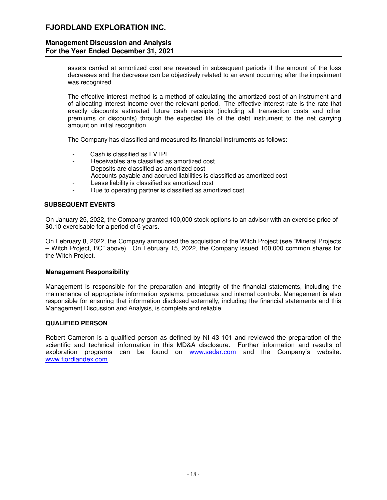### **Management Discussion and Analysis For the Year Ended December 31, 2021**

assets carried at amortized cost are reversed in subsequent periods if the amount of the loss decreases and the decrease can be objectively related to an event occurring after the impairment was recognized.

The effective interest method is a method of calculating the amortized cost of an instrument and of allocating interest income over the relevant period. The effective interest rate is the rate that exactly discounts estimated future cash receipts (including all transaction costs and other premiums or discounts) through the expected life of the debt instrument to the net carrying amount on initial recognition.

The Company has classified and measured its financial instruments as follows:

- Cash is classified as FVTPL
- Receivables are classified as amortized cost
- Deposits are classified as amortized cost
- Accounts payable and accrued liabilities is classified as amortized cost
- Lease liability is classified as amortized cost
- Due to operating partner is classified as amortized cost

### **SUBSEQUENT EVENTS**

On January 25, 2022, the Company granted 100,000 stock options to an advisor with an exercise price of \$0.10 exercisable for a period of 5 years.

On February 8, 2022, the Company announced the acquisition of the Witch Project (see "Mineral Projects – Witch Project, BC" above). On February 15, 2022, the Company issued 100,000 common shares for the Witch Project.

#### **Management Responsibility**

Management is responsible for the preparation and integrity of the financial statements, including the maintenance of appropriate information systems, procedures and internal controls. Management is also responsible for ensuring that information disclosed externally, including the financial statements and this Management Discussion and Analysis, is complete and reliable.

### **QUALIFIED PERSON**

Robert Cameron is a qualified person as defined by NI 43-101 and reviewed the preparation of the scientific and technical information in this MD&A disclosure. Further information and results of exploration programs can be found on www.sedar.com and the Company's website. www.fjordlandex.com.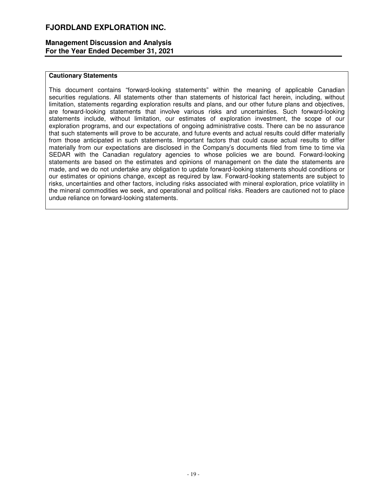### **Management Discussion and Analysis For the Year Ended December 31, 2021**

### **Cautionary Statements**

This document contains "forward-looking statements" within the meaning of applicable Canadian securities regulations. All statements other than statements of historical fact herein, including, without limitation, statements regarding exploration results and plans, and our other future plans and objectives, are forward-looking statements that involve various risks and uncertainties. Such forward-looking statements include, without limitation, our estimates of exploration investment, the scope of our exploration programs, and our expectations of ongoing administrative costs. There can be no assurance that such statements will prove to be accurate, and future events and actual results could differ materially from those anticipated in such statements. Important factors that could cause actual results to differ materially from our expectations are disclosed in the Company's documents filed from time to time via SEDAR with the Canadian regulatory agencies to whose policies we are bound. Forward-looking statements are based on the estimates and opinions of management on the date the statements are made, and we do not undertake any obligation to update forward-looking statements should conditions or our estimates or opinions change, except as required by law. Forward-looking statements are subject to risks, uncertainties and other factors, including risks associated with mineral exploration, price volatility in the mineral commodities we seek, and operational and political risks. Readers are cautioned not to place undue reliance on forward-looking statements.